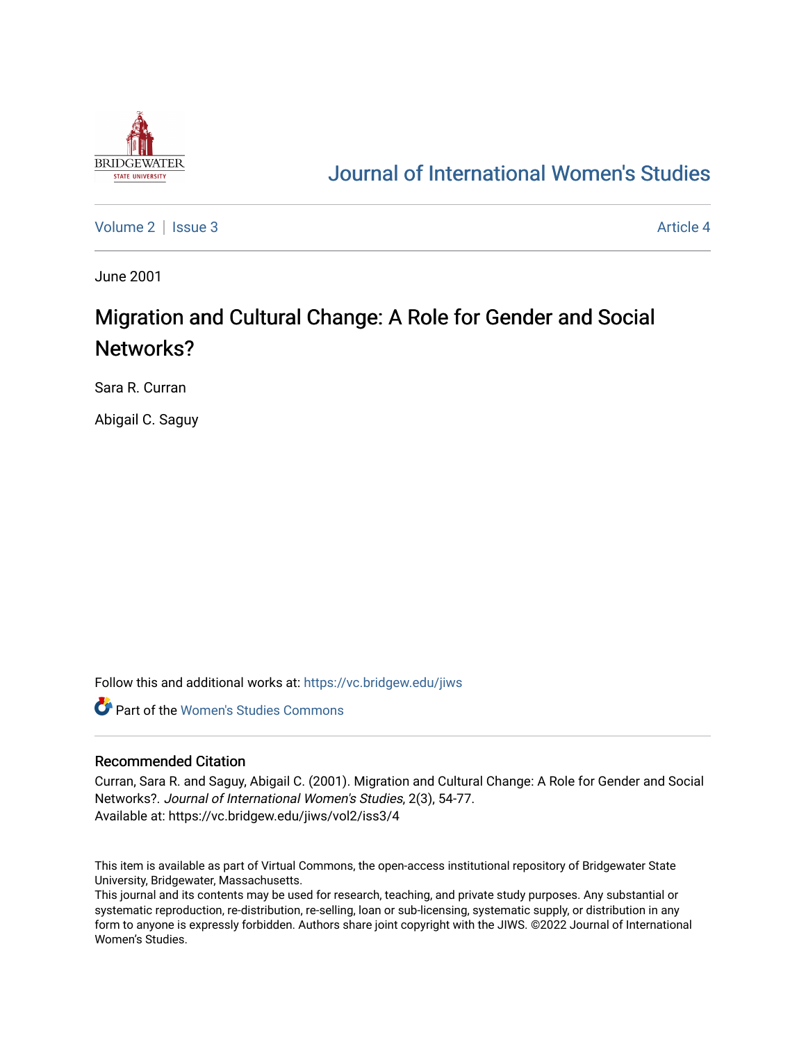

## [Journal of International Women's Studies](https://vc.bridgew.edu/jiws)

[Volume 2](https://vc.bridgew.edu/jiws/vol2) | [Issue 3](https://vc.bridgew.edu/jiws/vol2/iss3) Article 4

June 2001

# Migration and Cultural Change: A Role for Gender and Social Networks?

Sara R. Curran

Abigail C. Saguy

Follow this and additional works at: [https://vc.bridgew.edu/jiws](https://vc.bridgew.edu/jiws?utm_source=vc.bridgew.edu%2Fjiws%2Fvol2%2Fiss3%2F4&utm_medium=PDF&utm_campaign=PDFCoverPages)

**C** Part of the Women's Studies Commons

#### Recommended Citation

Curran, Sara R. and Saguy, Abigail C. (2001). Migration and Cultural Change: A Role for Gender and Social Networks?. Journal of International Women's Studies, 2(3), 54-77. Available at: https://vc.bridgew.edu/jiws/vol2/iss3/4

This item is available as part of Virtual Commons, the open-access institutional repository of Bridgewater State University, Bridgewater, Massachusetts.

This journal and its contents may be used for research, teaching, and private study purposes. Any substantial or systematic reproduction, re-distribution, re-selling, loan or sub-licensing, systematic supply, or distribution in any form to anyone is expressly forbidden. Authors share joint copyright with the JIWS. ©2022 Journal of International Women's Studies.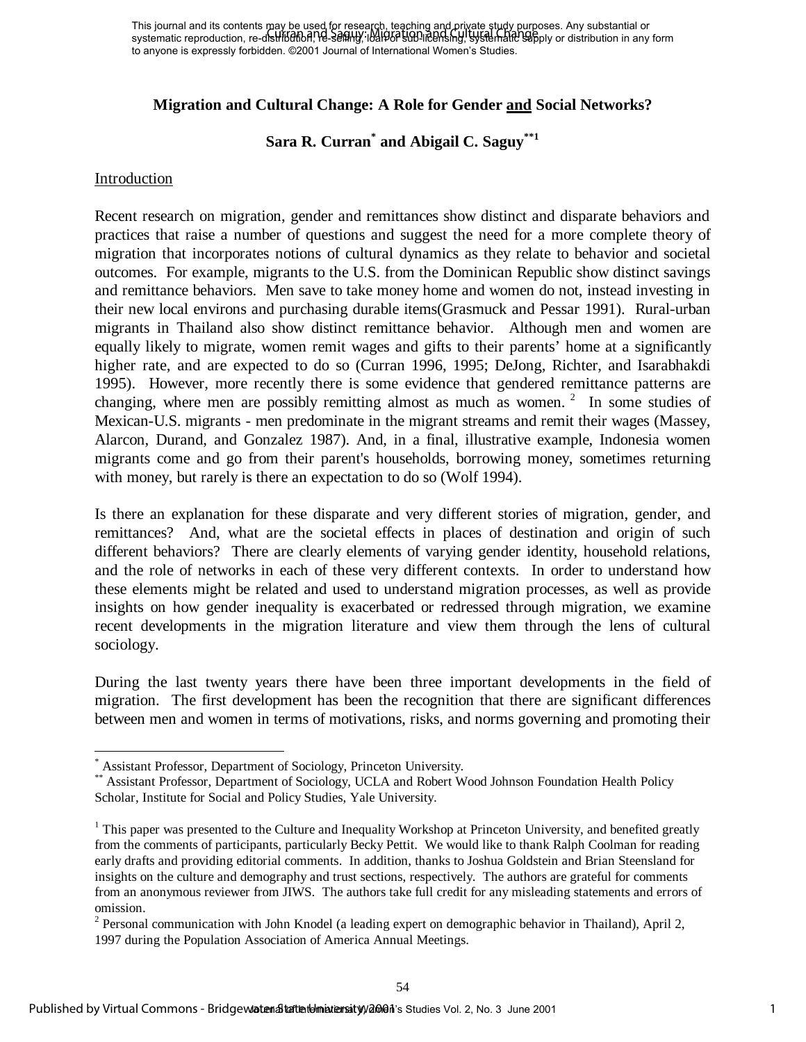## **Migration and Cultural Change: A Role for Gender and Social Networks?**

**Sara R. Curran\* and Abigail C. Saguy\*\*1**

#### Introduction

1

Recent research on migration, gender and remittances show distinct and disparate behaviors and practices that raise a number of questions and suggest the need for a more complete theory of migration that incorporates notions of cultural dynamics as they relate to behavior and societal outcomes. For example, migrants to the U.S. from the Dominican Republic show distinct savings and remittance behaviors. Men save to take money home and women do not, instead investing in their new local environs and purchasing durable items(Grasmuck and Pessar 1991). Rural-urban migrants in Thailand also show distinct remittance behavior. Although men and women are equally likely to migrate, women remit wages and gifts to their parents' home at a significantly higher rate, and are expected to do so (Curran 1996, 1995; DeJong, Richter, and Isarabhakdi 1995). However, more recently there is some evidence that gendered remittance patterns are changing, where men are possibly remitting almost as much as women.<sup>2</sup> In some studies of Mexican-U.S. migrants - men predominate in the migrant streams and remit their wages (Massey, Alarcon, Durand, and Gonzalez 1987). And, in a final, illustrative example, Indonesia women migrants come and go from their parent's households, borrowing money, sometimes returning with money, but rarely is there an expectation to do so (Wolf 1994). This ports are a constrained Women's Studies Vol. 2, No. 3 June 2001 This journal of Contents we are a studies of the studies Contents were apply that the contents of the contents may be used for research on migration, ge

Is there an explanation for these disparate and very different stories of migration, gender, and remittances? And, what are the societal effects in places of destination and origin of such different behaviors? There are clearly elements of varying gender identity, household relations, and the role of networks in each of these very different contexts. In order to understand how these elements might be related and used to understand migration processes, as well as provide insights on how gender inequality is exacerbated or redressed through migration, we examine recent developments in the migration literature and view them through the lens of cultural sociology.

During the last twenty years there have been three important developments in the field of migration. The first development has been the recognition that there are significant differences between men and women in terms of motivations, risks, and norms governing and promoting their

<sup>\*</sup> Assistant Professor, Department of Sociology, Princeton University.

<sup>\*\*</sup> Assistant Professor, Department of Sociology, UCLA and Robert Wood Johnson Foundation Health Policy Scholar, Institute for Social and Policy Studies, Yale University.

 $1$  This paper was presented to the Culture and Inequality Workshop at Princeton University, and benefited greatly from the comments of participants, particularly Becky Pettit. We would like to thank Ralph Coolman for reading early drafts and providing editorial comments. In addition, thanks to Joshua Goldstein and Brian Steensland for insights on the culture and demography and trust sections, respectively. The authors are grateful for comments from an anonymous reviewer from JIWS. The authors take full credit for any misleading statements and errors of omission.

<sup>&</sup>lt;sup>2</sup> Personal communication with John Knodel (a leading expert on demographic behavior in Thailand), April 2, 1997 during the Population Association of America Annual Meetings.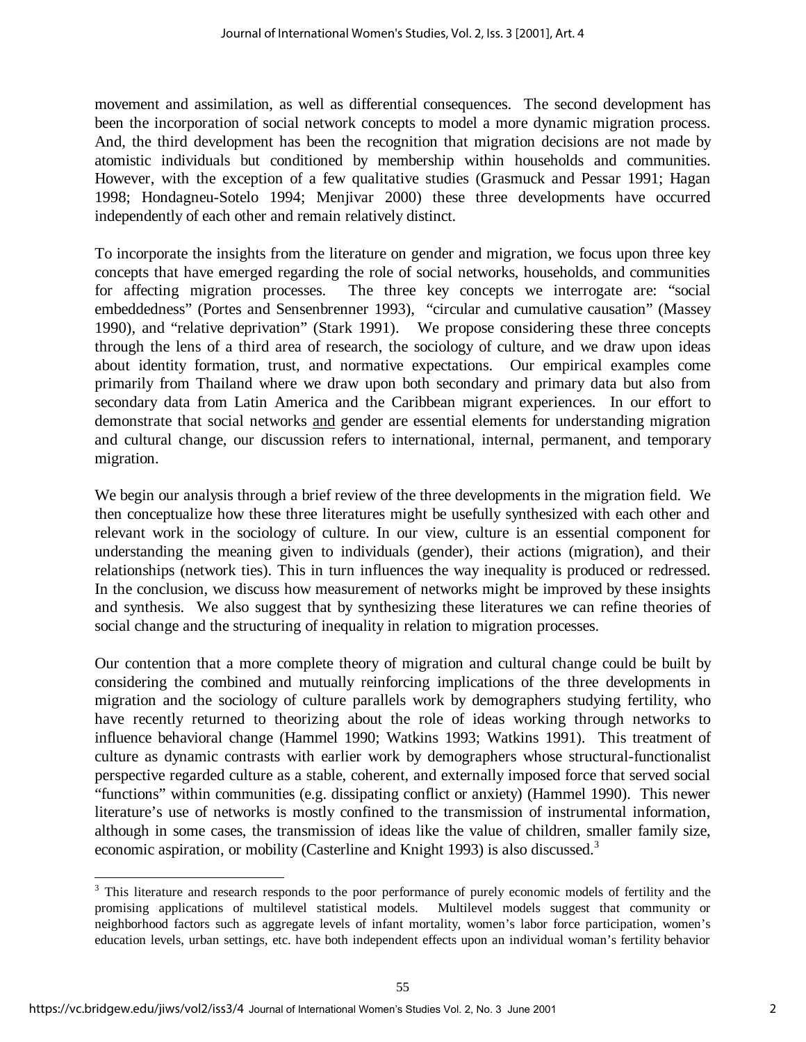movement and assimilation, as well as differential consequences. The second development has been the incorporation of social network concepts to model a more dynamic migration process. And, the third development has been the recognition that migration decisions are not made by atomistic individuals but conditioned by membership within households and communities. However, with the exception of a few qualitative studies (Grasmuck and Pessar 1991; Hagan 1998; Hondagneu-Sotelo 1994; Menjivar 2000) these three developments have occurred independently of each other and remain relatively distinct.

To incorporate the insights from the literature on gender and migration, we focus upon three key concepts that have emerged regarding the role of social networks, households, and communities for affecting migration processes. The three key concepts we interrogate are: "social embeddedness" (Portes and Sensenbrenner 1993), "circular and cumulative causation" (Massey 1990), and "relative deprivation" (Stark 1991). We propose considering these three concepts through the lens of a third area of research, the sociology of culture, and we draw upon ideas about identity formation, trust, and normative expectations. Our empirical examples come primarily from Thailand where we draw upon both secondary and primary data but also from secondary data from Latin America and the Caribbean migrant experiences. In our effort to demonstrate that social networks and gender are essential elements for understanding migration and cultural change, our discussion refers to international, internal, permanent, and temporary migration.

We begin our analysis through a brief review of the three developments in the migration field. We then conceptualize how these three literatures might be usefully synthesized with each other and relevant work in the sociology of culture. In our view, culture is an essential component for understanding the meaning given to individuals (gender), their actions (migration), and their relationships (network ties). This in turn influences the way inequality is produced or redressed. In the conclusion, we discuss how measurement of networks might be improved by these insights and synthesis. We also suggest that by synthesizing these literatures we can refine theories of social change and the structuring of inequality in relation to migration processes.

Our contention that a more complete theory of migration and cultural change could be built by considering the combined and mutually reinforcing implications of the three developments in migration and the sociology of culture parallels work by demographers studying fertility, who have recently returned to theorizing about the role of ideas working through networks to influence behavioral change (Hammel 1990; Watkins 1993; Watkins 1991). This treatment of culture as dynamic contrasts with earlier work by demographers whose structural-functionalist perspective regarded culture as a stable, coherent, and externally imposed force that served social "functions" within communities (e.g. dissipating conflict or anxiety) (Hammel 1990). This newer literature's use of networks is mostly confined to the transmission of instrumental information, although in some cases, the transmission of ideas like the value of children, smaller family size, economic aspiration, or mobility (Casterline and Knight 1993) is also discussed.<sup>3</sup>

l

 $3$  This literature and research responds to the poor performance of purely economic models of fertility and the promising applications of multilevel statistical models. Multilevel models suggest that community or neighborhood factors such as aggregate levels of infant mortality, women's labor force participation, women's education levels, urban settings, etc. have both independent effects upon an individual woman's fertility behavior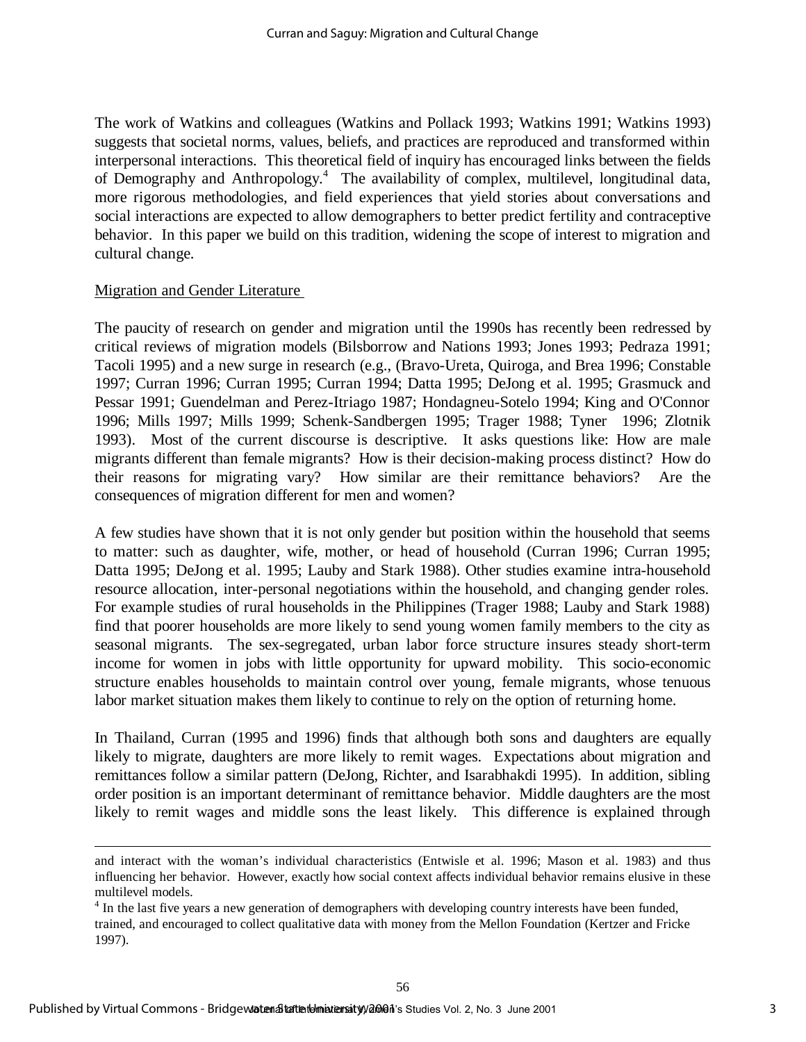The work of Watkins and colleagues (Watkins and Pollack 1993; Watkins 1991; Watkins 1993) suggests that societal norms, values, beliefs, and practices are reproduced and transformed within interpersonal interactions. This theoretical field of inquiry has encouraged links between the fields of Demography and Anthropology.<sup>4</sup> The availability of complex, multilevel, longitudinal data, more rigorous methodologies, and field experiences that yield stories about conversations and social interactions are expected to allow demographers to better predict fertility and contraceptive behavior. In this paper we build on this tradition, widening the scope of interest to migration and cultural change.

#### Migration and Gender Literature

l

The paucity of research on gender and migration until the 1990s has recently been redressed by critical reviews of migration models (Bilsborrow and Nations 1993; Jones 1993; Pedraza 1991; Tacoli 1995) and a new surge in research (e.g., (Bravo-Ureta, Quiroga, and Brea 1996; Constable 1997; Curran 1996; Curran 1995; Curran 1994; Datta 1995; DeJong et al. 1995; Grasmuck and Pessar 1991; Guendelman and Perez-Itriago 1987; Hondagneu-Sotelo 1994; King and O'Connor 1996; Mills 1997; Mills 1999; Schenk-Sandbergen 1995; Trager 1988; Tyner 1996; Zlotnik 1993). Most of the current discourse is descriptive. It asks questions like: How are male migrants different than female migrants? How is their decision-making process distinct? How do their reasons for migrating vary? How similar are their remittance behaviors? Are the consequences of migration different for men and women?

A few studies have shown that it is not only gender but position within the household that seems to matter: such as daughter, wife, mother, or head of household (Curran 1996; Curran 1995; Datta 1995; DeJong et al. 1995; Lauby and Stark 1988). Other studies examine intra-household resource allocation, inter-personal negotiations within the household, and changing gender roles. For example studies of rural households in the Philippines (Trager 1988; Lauby and Stark 1988) find that poorer households are more likely to send young women family members to the city as seasonal migrants. The sex-segregated, urban labor force structure insures steady short-term income for women in jobs with little opportunity for upward mobility. This socio-economic structure enables households to maintain control over young, female migrants, whose tenuous labor market situation makes them likely to continue to rely on the option of returning home.

In Thailand, Curran (1995 and 1996) finds that although both sons and daughters are equally likely to migrate, daughters are more likely to remit wages. Expectations about migration and remittances follow a similar pattern (DeJong, Richter, and Isarabhakdi 1995). In addition, sibling order position is an important determinant of remittance behavior. Middle daughters are the most likely to remit wages and middle sons the least likely. This difference is explained through

and interact with the woman's individual characteristics (Entwisle et al. 1996; Mason et al. 1983) and thus influencing her behavior. However, exactly how social context affects individual behavior remains elusive in these multilevel models.

 $4 \text{ In the last five years a new generation of demographers with developing country interests have been funded,}$ trained, and encouraged to collect qualitative data with money from the Mellon Foundation (Kertzer and Fricke 1997).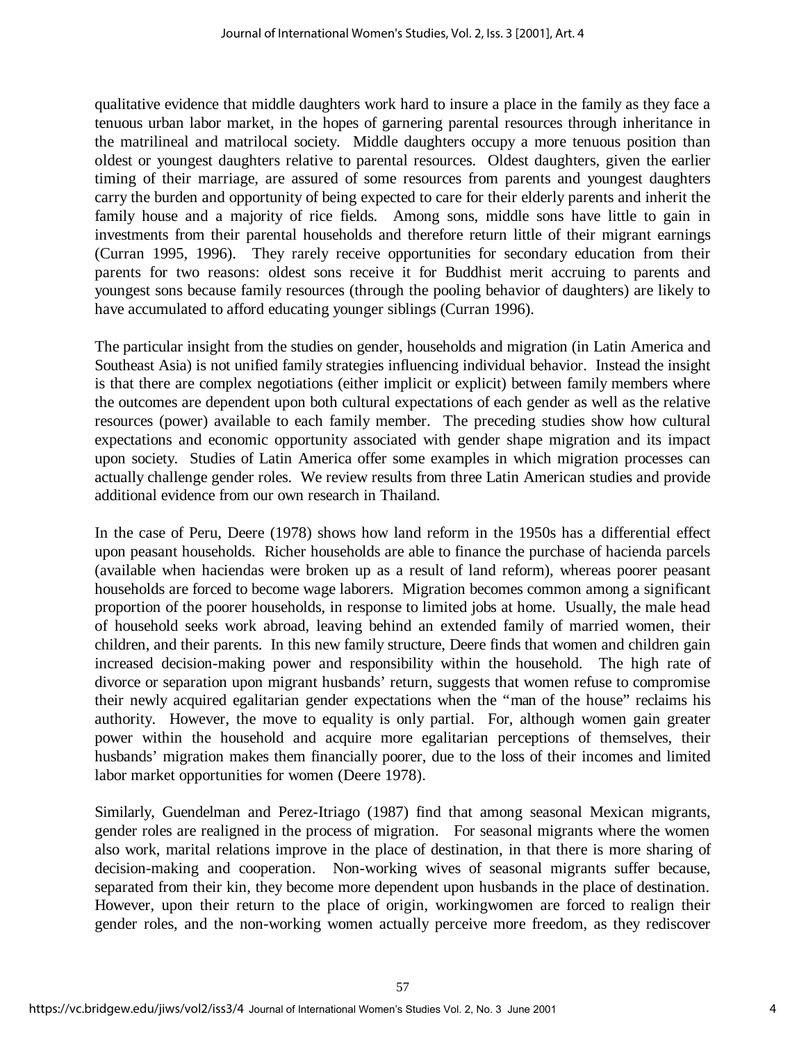qualitative evidence that middle daughters work hard to insure a place in the family as they face a tenuous urban labor market, in the hopes of garnering parental resources through inheritance in the matrilineal and matrilocal society. Middle daughters occupy a more tenuous position than oldest or youngest daughters relative to parental resources. Oldest daughters, given the earlier timing of their marriage, are assured of some resources from parents and youngest daughters carry the burden and opportunity of being expected to care for their elderly parents and inherit the family house and a majority of rice fields. Among sons, middle sons have little to gain in investments from their parental households and therefore return little of their migrant earnings (Curran 1995, 1996). They rarely receive opportunities for secondary education from their parents for two reasons: oldest sons receive it for Buddhist merit accruing to parents and youngest sons because family resources (through the pooling behavior of daughters) are likely to have accumulated to afford educating younger siblings (Curran 1996).

The particular insight from the studies on gender, households and migration (in Latin America and Southeast Asia) is not unified family strategies influencing individual behavior. Instead the insight is that there are complex negotiations (either implicit or explicit) between family members where the outcomes are dependent upon both cultural expectations of each gender as well as the relative resources (power) available to each family member. The preceding studies show how cultural expectations and economic opportunity associated with gender shape migration and its impact upon society. Studies of Latin America offer some examples in which migration processes can actually challenge gender roles. We review results from three Latin American studies and provide additional evidence from our own research in Thailand.

In the case of Peru, Deere (1978) shows how land reform in the 1950s has a differential effect upon peasant households. Richer households are able to finance the purchase of hacienda parcels (available when haciendas were broken up as a result of land reform), whereas poorer peasant households are forced to become wage laborers. Migration becomes common among a significant proportion of the poorer households, in response to limited jobs at home. Usually, the male head of household seeks work abroad, leaving behind an extended family of married women, their children, and their parents. In this new family structure, Deere finds that women and children gain increased decision-making power and responsibility within the household. The high rate of divorce or separation upon migrant husbands' return, suggests that women refuse to compromise their newly acquired egalitarian gender expectations when the "man of the house" reclaims his authority. However, the move to equality is only partial. For, although women gain greater power within the household and acquire more egalitarian perceptions of themselves, their husbands' migration makes them financially poorer, due to the loss of their incomes and limited labor market opportunities for women (Deere 1978).

Similarly, Guendelman and Perez-Itriago (1987) find that among seasonal Mexican migrants, gender roles are realigned in the process of migration. For seasonal migrants where the women also work, marital relations improve in the place of destination, in that there is more sharing of decision-making and cooperation. Non-working wives of seasonal migrants suffer because, separated from their kin, they become more dependent upon husbands in the place of destination. However, upon their return to the place of origin, workingwomen are forced to realign their gender roles, and the non-working women actually perceive more freedom, as they rediscover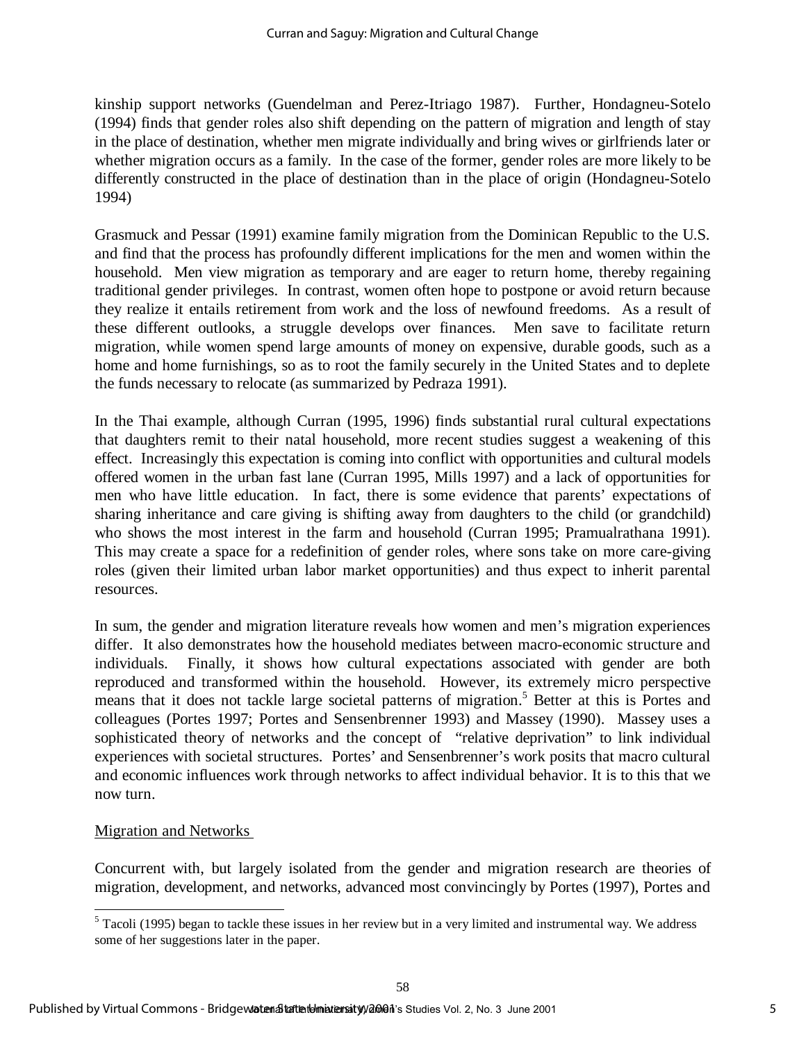kinship support networks (Guendelman and Perez-Itriago 1987). Further, Hondagneu-Sotelo (1994) finds that gender roles also shift depending on the pattern of migration and length of stay in the place of destination, whether men migrate individually and bring wives or girlfriends later or whether migration occurs as a family. In the case of the former, gender roles are more likely to be differently constructed in the place of destination than in the place of origin (Hondagneu-Sotelo 1994)

Grasmuck and Pessar (1991) examine family migration from the Dominican Republic to the U.S. and find that the process has profoundly different implications for the men and women within the household. Men view migration as temporary and are eager to return home, thereby regaining traditional gender privileges. In contrast, women often hope to postpone or avoid return because they realize it entails retirement from work and the loss of newfound freedoms. As a result of these different outlooks, a struggle develops over finances. Men save to facilitate return migration, while women spend large amounts of money on expensive, durable goods, such as a home and home furnishings, so as to root the family securely in the United States and to deplete the funds necessary to relocate (as summarized by Pedraza 1991).

In the Thai example, although Curran (1995, 1996) finds substantial rural cultural expectations that daughters remit to their natal household, more recent studies suggest a weakening of this effect. Increasingly this expectation is coming into conflict with opportunities and cultural models offered women in the urban fast lane (Curran 1995, Mills 1997) and a lack of opportunities for men who have little education. In fact, there is some evidence that parents' expectations of sharing inheritance and care giving is shifting away from daughters to the child (or grandchild) who shows the most interest in the farm and household (Curran 1995; Pramualrathana 1991). This may create a space for a redefinition of gender roles, where sons take on more care-giving roles (given their limited urban labor market opportunities) and thus expect to inherit parental resources.

In sum, the gender and migration literature reveals how women and men's migration experiences differ. It also demonstrates how the household mediates between macro-economic structure and individuals. Finally, it shows how cultural expectations associated with gender are both reproduced and transformed within the household. However, its extremely micro perspective means that it does not tackle large societal patterns of migration.<sup>5</sup> Better at this is Portes and colleagues (Portes 1997; Portes and Sensenbrenner 1993) and Massey (1990). Massey uses a sophisticated theory of networks and the concept of "relative deprivation" to link individual experiences with societal structures. Portes' and Sensenbrenner's work posits that macro cultural and economic influences work through networks to affect individual behavior. It is to this that we now turn.

#### Migration and Networks

l

Concurrent with, but largely isolated from the gender and migration research are theories of migration, development, and networks, advanced most convincingly by Portes (1997), Portes and

 $<sup>5</sup>$  Tacoli (1995) began to tackle these issues in her review but in a very limited and instrumental way. We address</sup> some of her suggestions later in the paper.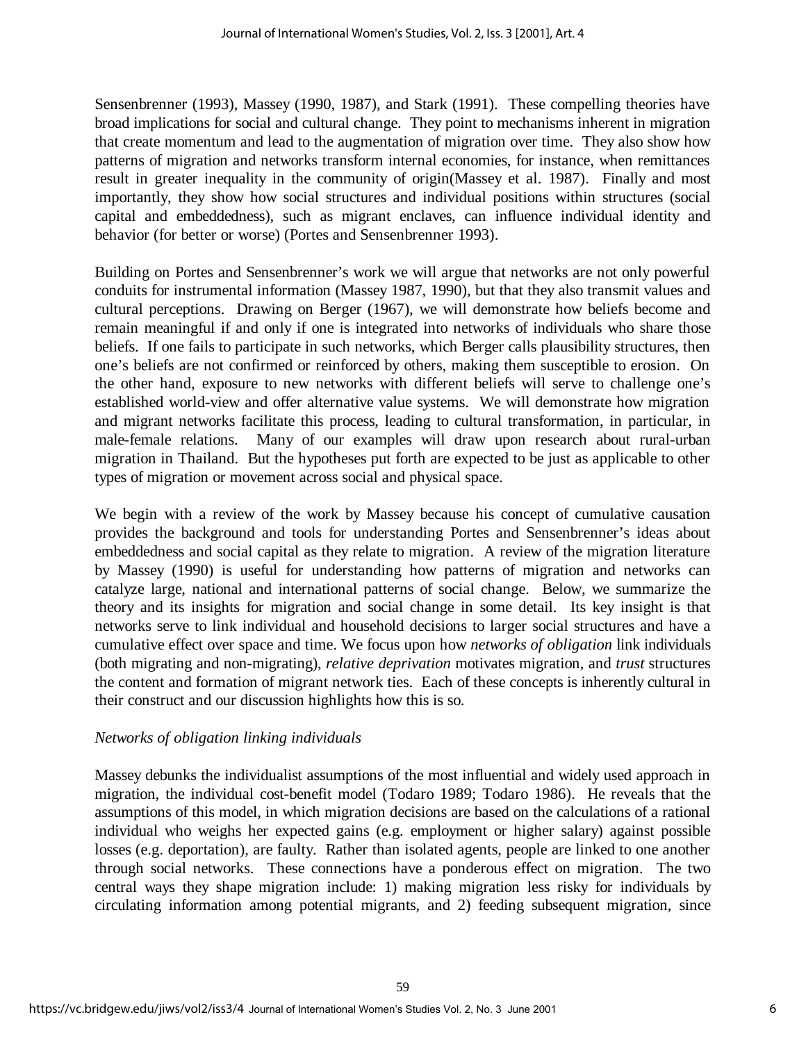Sensenbrenner (1993), Massey (1990, 1987), and Stark (1991). These compelling theories have broad implications for social and cultural change. They point to mechanisms inherent in migration that create momentum and lead to the augmentation of migration over time. They also show how patterns of migration and networks transform internal economies, for instance, when remittances result in greater inequality in the community of origin(Massey et al. 1987). Finally and most importantly, they show how social structures and individual positions within structures (social capital and embeddedness), such as migrant enclaves, can influence individual identity and behavior (for better or worse) (Portes and Sensenbrenner 1993).

Building on Portes and Sensenbrenner's work we will argue that networks are not only powerful conduits for instrumental information (Massey 1987, 1990), but that they also transmit values and cultural perceptions. Drawing on Berger (1967), we will demonstrate how beliefs become and remain meaningful if and only if one is integrated into networks of individuals who share those beliefs. If one fails to participate in such networks, which Berger calls plausibility structures, then one's beliefs are not confirmed or reinforced by others, making them susceptible to erosion. On the other hand, exposure to new networks with different beliefs will serve to challenge one's established world-view and offer alternative value systems. We will demonstrate how migration and migrant networks facilitate this process, leading to cultural transformation, in particular, in male-female relations. Many of our examples will draw upon research about rural-urban migration in Thailand. But the hypotheses put forth are expected to be just as applicable to other types of migration or movement across social and physical space.

We begin with a review of the work by Massey because his concept of cumulative causation provides the background and tools for understanding Portes and Sensenbrenner's ideas about embeddedness and social capital as they relate to migration. A review of the migration literature by Massey (1990) is useful for understanding how patterns of migration and networks can catalyze large, national and international patterns of social change. Below, we summarize the theory and its insights for migration and social change in some detail. Its key insight is that networks serve to link individual and household decisions to larger social structures and have a cumulative effect over space and time. We focus upon how *networks of obligation* link individuals (both migrating and non-migrating), *relative deprivation* motivates migration, and *trust* structures the content and formation of migrant network ties. Each of these concepts is inherently cultural in their construct and our discussion highlights how this is so.

## *Networks of obligation linking individuals*

Massey debunks the individualist assumptions of the most influential and widely used approach in migration, the individual cost-benefit model (Todaro 1989; Todaro 1986). He reveals that the assumptions of this model, in which migration decisions are based on the calculations of a rational individual who weighs her expected gains (e.g. employment or higher salary) against possible losses (e.g. deportation), are faulty. Rather than isolated agents, people are linked to one another through social networks. These connections have a ponderous effect on migration. The two central ways they shape migration include: 1) making migration less risky for individuals by circulating information among potential migrants, and 2) feeding subsequent migration, since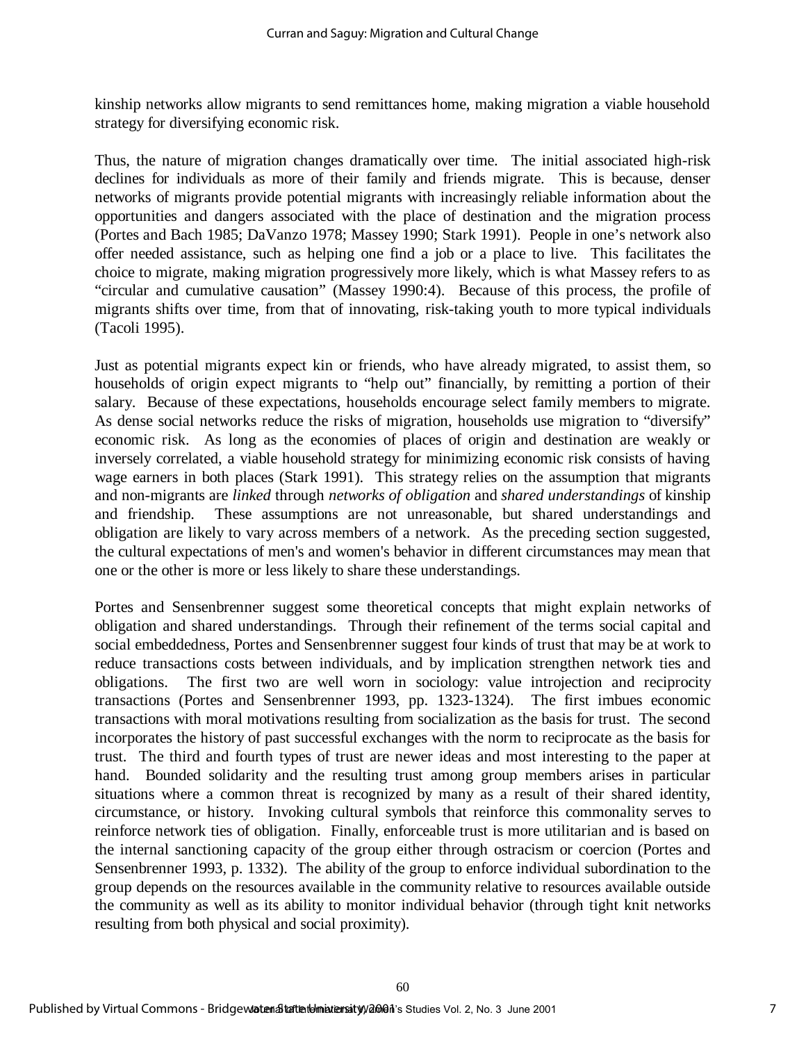kinship networks allow migrants to send remittances home, making migration a viable household strategy for diversifying economic risk.

Thus, the nature of migration changes dramatically over time. The initial associated high-risk declines for individuals as more of their family and friends migrate. This is because, denser networks of migrants provide potential migrants with increasingly reliable information about the opportunities and dangers associated with the place of destination and the migration process (Portes and Bach 1985; DaVanzo 1978; Massey 1990; Stark 1991). People in one's network also offer needed assistance, such as helping one find a job or a place to live. This facilitates the choice to migrate, making migration progressively more likely, which is what Massey refers to as "circular and cumulative causation" (Massey 1990:4). Because of this process, the profile of migrants shifts over time, from that of innovating, risk-taking youth to more typical individuals (Tacoli 1995).

Just as potential migrants expect kin or friends, who have already migrated, to assist them, so households of origin expect migrants to "help out" financially, by remitting a portion of their salary. Because of these expectations, households encourage select family members to migrate. As dense social networks reduce the risks of migration, households use migration to "diversify" economic risk. As long as the economies of places of origin and destination are weakly or inversely correlated, a viable household strategy for minimizing economic risk consists of having wage earners in both places (Stark 1991). This strategy relies on the assumption that migrants and non-migrants are *linked* through *networks of obligation* and *shared understandings* of kinship and friendship. These assumptions are not unreasonable, but shared understandings and obligation are likely to vary across members of a network. As the preceding section suggested, the cultural expectations of men's and women's behavior in different circumstances may mean that one or the other is more or less likely to share these understandings.

Portes and Sensenbrenner suggest some theoretical concepts that might explain networks of obligation and shared understandings. Through their refinement of the terms social capital and social embeddedness, Portes and Sensenbrenner suggest four kinds of trust that may be at work to reduce transactions costs between individuals, and by implication strengthen network ties and obligations. The first two are well worn in sociology: value introjection and reciprocity transactions (Portes and Sensenbrenner 1993, pp. 1323-1324). The first imbues economic transactions with moral motivations resulting from socialization as the basis for trust. The second incorporates the history of past successful exchanges with the norm to reciprocate as the basis for trust. The third and fourth types of trust are newer ideas and most interesting to the paper at hand. Bounded solidarity and the resulting trust among group members arises in particular situations where a common threat is recognized by many as a result of their shared identity, circumstance, or history. Invoking cultural symbols that reinforce this commonality serves to reinforce network ties of obligation. Finally, enforceable trust is more utilitarian and is based on the internal sanctioning capacity of the group either through ostracism or coercion (Portes and Sensenbrenner 1993, p. 1332). The ability of the group to enforce individual subordination to the group depends on the resources available in the community relative to resources available outside the community as well as its ability to monitor individual behavior (through tight knit networks resulting from both physical and social proximity).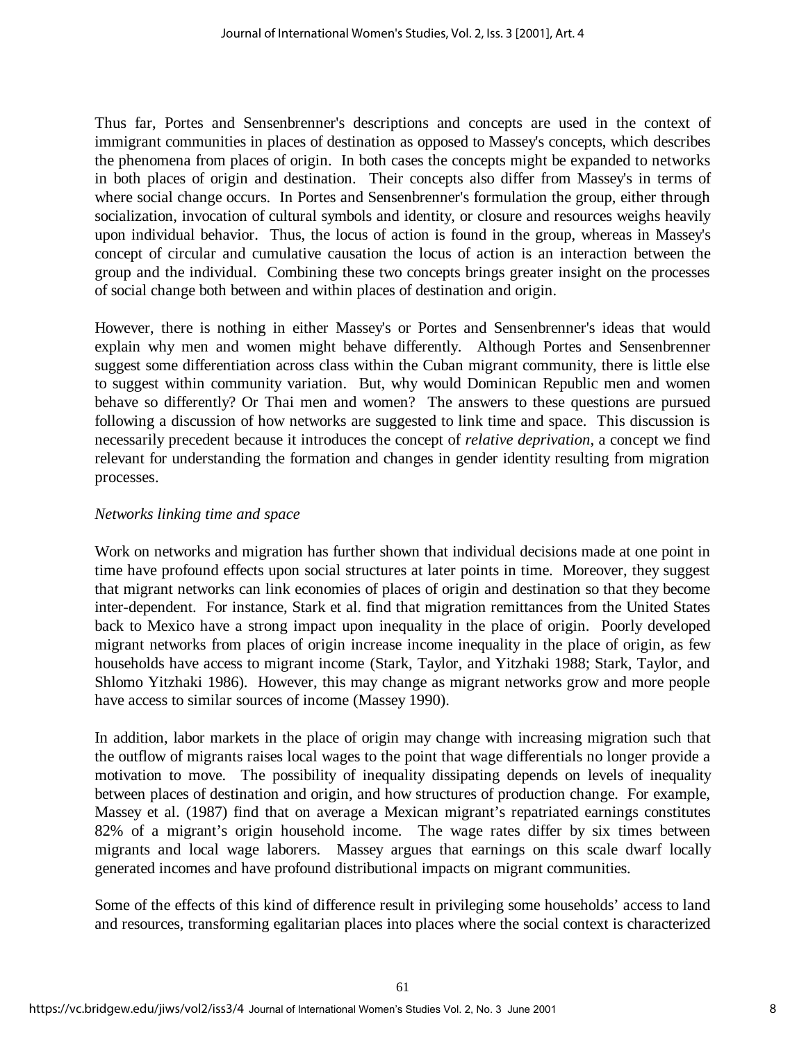Thus far, Portes and Sensenbrenner's descriptions and concepts are used in the context of immigrant communities in places of destination as opposed to Massey's concepts, which describes the phenomena from places of origin. In both cases the concepts might be expanded to networks in both places of origin and destination. Their concepts also differ from Massey's in terms of where social change occurs. In Portes and Sensenbrenner's formulation the group, either through socialization, invocation of cultural symbols and identity, or closure and resources weighs heavily upon individual behavior. Thus, the locus of action is found in the group, whereas in Massey's concept of circular and cumulative causation the locus of action is an interaction between the group and the individual. Combining these two concepts brings greater insight on the processes of social change both between and within places of destination and origin.

However, there is nothing in either Massey's or Portes and Sensenbrenner's ideas that would explain why men and women might behave differently. Although Portes and Sensenbrenner suggest some differentiation across class within the Cuban migrant community, there is little else to suggest within community variation. But, why would Dominican Republic men and women behave so differently? Or Thai men and women? The answers to these questions are pursued following a discussion of how networks are suggested to link time and space. This discussion is necessarily precedent because it introduces the concept of *relative deprivation*, a concept we find relevant for understanding the formation and changes in gender identity resulting from migration processes.

## *Networks linking time and space*

Work on networks and migration has further shown that individual decisions made at one point in time have profound effects upon social structures at later points in time. Moreover, they suggest that migrant networks can link economies of places of origin and destination so that they become inter-dependent. For instance, Stark et al. find that migration remittances from the United States back to Mexico have a strong impact upon inequality in the place of origin. Poorly developed migrant networks from places of origin increase income inequality in the place of origin, as few households have access to migrant income (Stark, Taylor, and Yitzhaki 1988; Stark, Taylor, and Shlomo Yitzhaki 1986). However, this may change as migrant networks grow and more people have access to similar sources of income (Massey 1990).

In addition, labor markets in the place of origin may change with increasing migration such that the outflow of migrants raises local wages to the point that wage differentials no longer provide a motivation to move. The possibility of inequality dissipating depends on levels of inequality between places of destination and origin, and how structures of production change. For example, Massey et al. (1987) find that on average a Mexican migrant's repatriated earnings constitutes 82% of a migrant's origin household income. The wage rates differ by six times between migrants and local wage laborers. Massey argues that earnings on this scale dwarf locally generated incomes and have profound distributional impacts on migrant communities.

Some of the effects of this kind of difference result in privileging some households' access to land and resources, transforming egalitarian places into places where the social context is characterized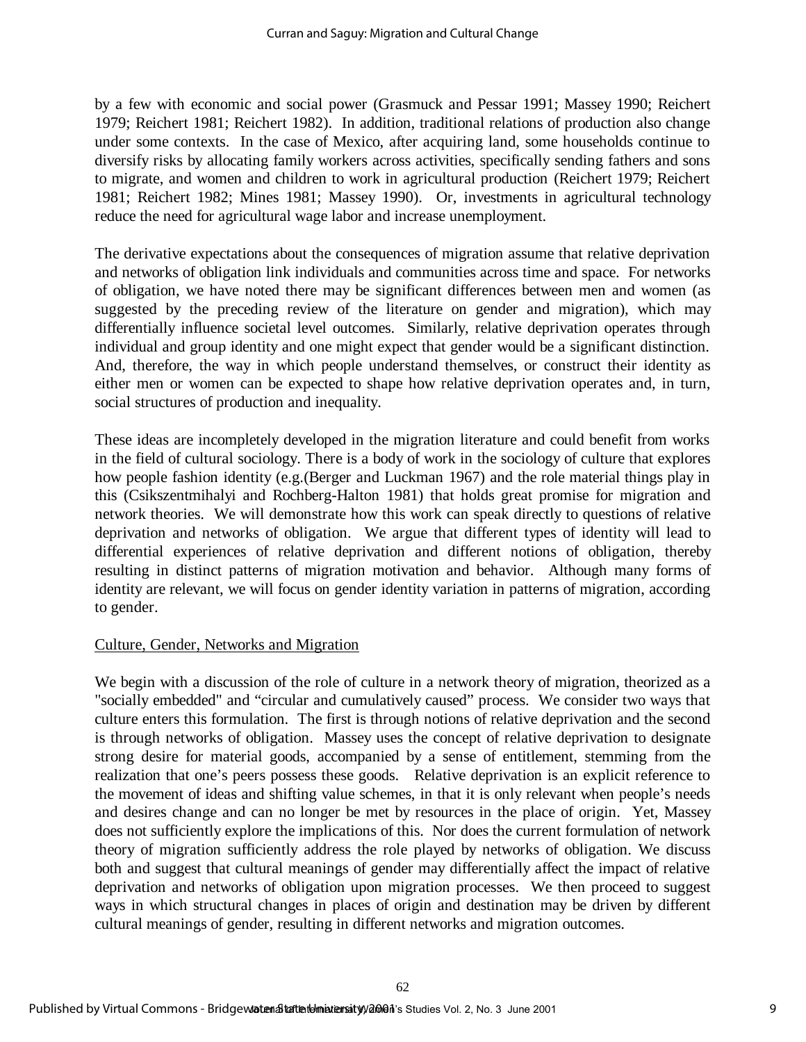by a few with economic and social power (Grasmuck and Pessar 1991; Massey 1990; Reichert 1979; Reichert 1981; Reichert 1982). In addition, traditional relations of production also change under some contexts. In the case of Mexico, after acquiring land, some households continue to diversify risks by allocating family workers across activities, specifically sending fathers and sons to migrate, and women and children to work in agricultural production (Reichert 1979; Reichert 1981; Reichert 1982; Mines 1981; Massey 1990). Or, investments in agricultural technology reduce the need for agricultural wage labor and increase unemployment.

The derivative expectations about the consequences of migration assume that relative deprivation and networks of obligation link individuals and communities across time and space. For networks of obligation, we have noted there may be significant differences between men and women (as suggested by the preceding review of the literature on gender and migration), which may differentially influence societal level outcomes. Similarly, relative deprivation operates through individual and group identity and one might expect that gender would be a significant distinction. And, therefore, the way in which people understand themselves, or construct their identity as either men or women can be expected to shape how relative deprivation operates and, in turn, social structures of production and inequality.

These ideas are incompletely developed in the migration literature and could benefit from works in the field of cultural sociology. There is a body of work in the sociology of culture that explores how people fashion identity (e.g.(Berger and Luckman 1967) and the role material things play in this (Csikszentmihalyi and Rochberg-Halton 1981) that holds great promise for migration and network theories. We will demonstrate how this work can speak directly to questions of relative deprivation and networks of obligation. We argue that different types of identity will lead to differential experiences of relative deprivation and different notions of obligation, thereby resulting in distinct patterns of migration motivation and behavior. Although many forms of identity are relevant, we will focus on gender identity variation in patterns of migration, according to gender.

## Culture, Gender, Networks and Migration

We begin with a discussion of the role of culture in a network theory of migration, theorized as a "socially embedded" and "circular and cumulatively caused" process. We consider two ways that culture enters this formulation. The first is through notions of relative deprivation and the second is through networks of obligation. Massey uses the concept of relative deprivation to designate strong desire for material goods, accompanied by a sense of entitlement, stemming from the realization that one's peers possess these goods. Relative deprivation is an explicit reference to the movement of ideas and shifting value schemes, in that it is only relevant when people's needs and desires change and can no longer be met by resources in the place of origin. Yet, Massey does not sufficiently explore the implications of this. Nor does the current formulation of network theory of migration sufficiently address the role played by networks of obligation. We discuss both and suggest that cultural meanings of gender may differentially affect the impact of relative deprivation and networks of obligation upon migration processes. We then proceed to suggest ways in which structural changes in places of origin and destination may be driven by different cultural meanings of gender, resulting in different networks and migration outcomes.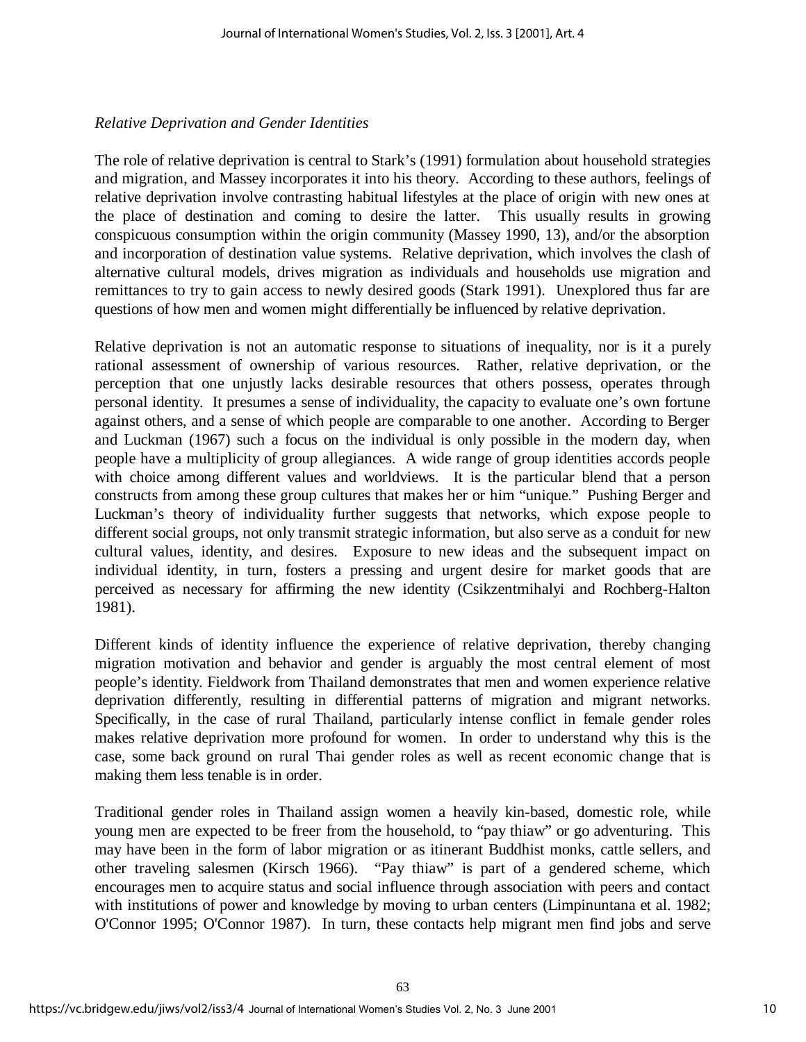#### *Relative Deprivation and Gender Identities*

The role of relative deprivation is central to Stark's (1991) formulation about household strategies and migration, and Massey incorporates it into his theory. According to these authors, feelings of relative deprivation involve contrasting habitual lifestyles at the place of origin with new ones at the place of destination and coming to desire the latter. This usually results in growing conspicuous consumption within the origin community (Massey 1990, 13), and/or the absorption and incorporation of destination value systems. Relative deprivation, which involves the clash of alternative cultural models, drives migration as individuals and households use migration and remittances to try to gain access to newly desired goods (Stark 1991). Unexplored thus far are questions of how men and women might differentially be influenced by relative deprivation.

Relative deprivation is not an automatic response to situations of inequality, nor is it a purely rational assessment of ownership of various resources. Rather, relative deprivation, or the perception that one unjustly lacks desirable resources that others possess, operates through personal identity. It presumes a sense of individuality, the capacity to evaluate one's own fortune against others, and a sense of which people are comparable to one another. According to Berger and Luckman (1967) such a focus on the individual is only possible in the modern day, when people have a multiplicity of group allegiances. A wide range of group identities accords people with choice among different values and worldviews. It is the particular blend that a person constructs from among these group cultures that makes her or him "unique." Pushing Berger and Luckman's theory of individuality further suggests that networks, which expose people to different social groups, not only transmit strategic information, but also serve as a conduit for new cultural values, identity, and desires. Exposure to new ideas and the subsequent impact on individual identity, in turn, fosters a pressing and urgent desire for market goods that are perceived as necessary for affirming the new identity (Csikzentmihalyi and Rochberg-Halton 1981).

Different kinds of identity influence the experience of relative deprivation, thereby changing migration motivation and behavior and gender is arguably the most central element of most people's identity. Fieldwork from Thailand demonstrates that men and women experience relative deprivation differently, resulting in differential patterns of migration and migrant networks. Specifically, in the case of rural Thailand, particularly intense conflict in female gender roles makes relative deprivation more profound for women. In order to understand why this is the case, some back ground on rural Thai gender roles as well as recent economic change that is making them less tenable is in order.

Traditional gender roles in Thailand assign women a heavily kin-based, domestic role, while young men are expected to be freer from the household, to "pay thiaw" or go adventuring. This may have been in the form of labor migration or as itinerant Buddhist monks, cattle sellers, and other traveling salesmen (Kirsch 1966). "Pay thiaw" is part of a gendered scheme, which encourages men to acquire status and social influence through association with peers and contact with institutions of power and knowledge by moving to urban centers (Limpinuntana et al. 1982; O'Connor 1995; O'Connor 1987). In turn, these contacts help migrant men find jobs and serve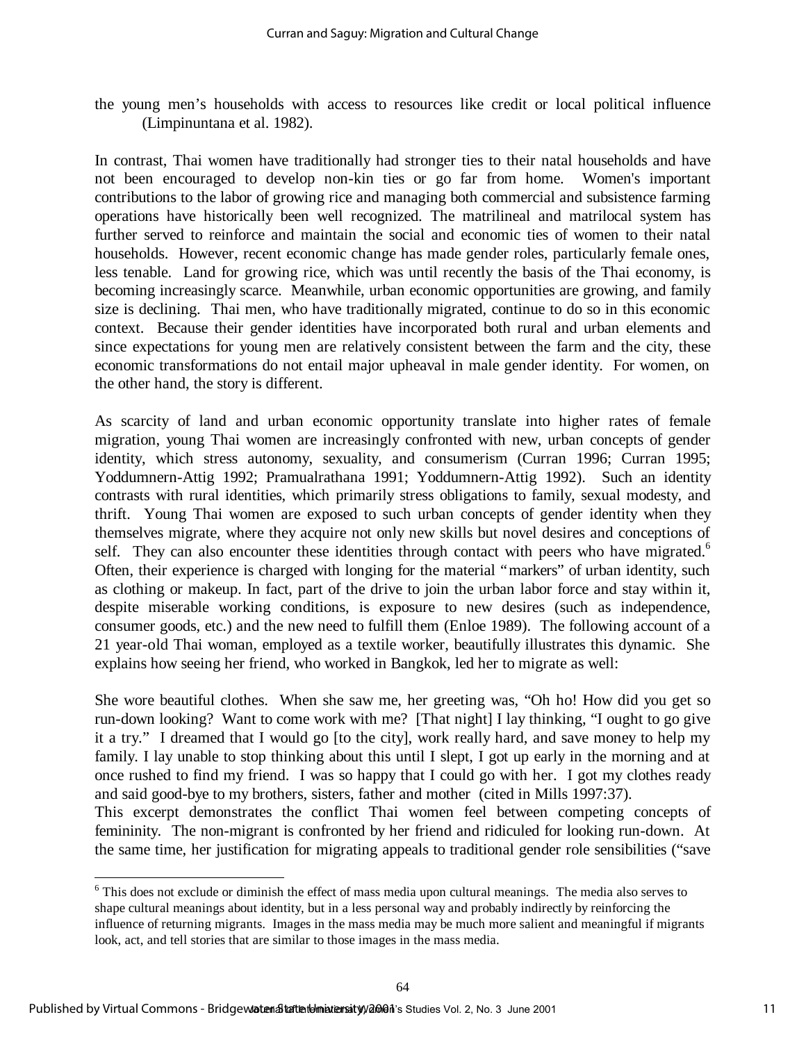the young men's households with access to resources like credit or local political influence (Limpinuntana et al. 1982).

In contrast, Thai women have traditionally had stronger ties to their natal households and have not been encouraged to develop non-kin ties or go far from home. Women's important contributions to the labor of growing rice and managing both commercial and subsistence farming operations have historically been well recognized. The matrilineal and matrilocal system has further served to reinforce and maintain the social and economic ties of women to their natal households. However, recent economic change has made gender roles, particularly female ones, less tenable. Land for growing rice, which was until recently the basis of the Thai economy, is becoming increasingly scarce. Meanwhile, urban economic opportunities are growing, and family size is declining. Thai men, who have traditionally migrated, continue to do so in this economic context. Because their gender identities have incorporated both rural and urban elements and since expectations for young men are relatively consistent between the farm and the city, these economic transformations do not entail major upheaval in male gender identity. For women, on the other hand, the story is different.

As scarcity of land and urban economic opportunity translate into higher rates of female migration, young Thai women are increasingly confronted with new, urban concepts of gender identity, which stress autonomy, sexuality, and consumerism (Curran 1996; Curran 1995; Yoddumnern-Attig 1992; Pramualrathana 1991; Yoddumnern-Attig 1992). Such an identity contrasts with rural identities, which primarily stress obligations to family, sexual modesty, and thrift. Young Thai women are exposed to such urban concepts of gender identity when they themselves migrate, where they acquire not only new skills but novel desires and conceptions of self. They can also encounter these identities through contact with peers who have migrated.<sup>6</sup> Often, their experience is charged with longing for the material "markers" of urban identity, such as clothing or makeup. In fact, part of the drive to join the urban labor force and stay within it, despite miserable working conditions, is exposure to new desires (such as independence, consumer goods, etc.) and the new need to fulfill them (Enloe 1989). The following account of a 21 year-old Thai woman, employed as a textile worker, beautifully illustrates this dynamic. She explains how seeing her friend, who worked in Bangkok, led her to migrate as well:

She wore beautiful clothes. When she saw me, her greeting was, "Oh ho! How did you get so run-down looking? Want to come work with me? [That night] I lay thinking, "I ought to go give it a try." I dreamed that I would go [to the city], work really hard, and save money to help my family. I lay unable to stop thinking about this until I slept, I got up early in the morning and at once rushed to find my friend. I was so happy that I could go with her. I got my clothes ready and said good-bye to my brothers, sisters, father and mother (cited in Mills 1997:37).

This excerpt demonstrates the conflict Thai women feel between competing concepts of femininity. The non-migrant is confronted by her friend and ridiculed for looking run-down. At the same time, her justification for migrating appeals to traditional gender role sensibilities ("save

l

<sup>&</sup>lt;sup>6</sup> This does not exclude or diminish the effect of mass media upon cultural meanings. The media also serves to shape cultural meanings about identity, but in a less personal way and probably indirectly by reinforcing the influence of returning migrants. Images in the mass media may be much more salient and meaningful if migrants look, act, and tell stories that are similar to those images in the mass media.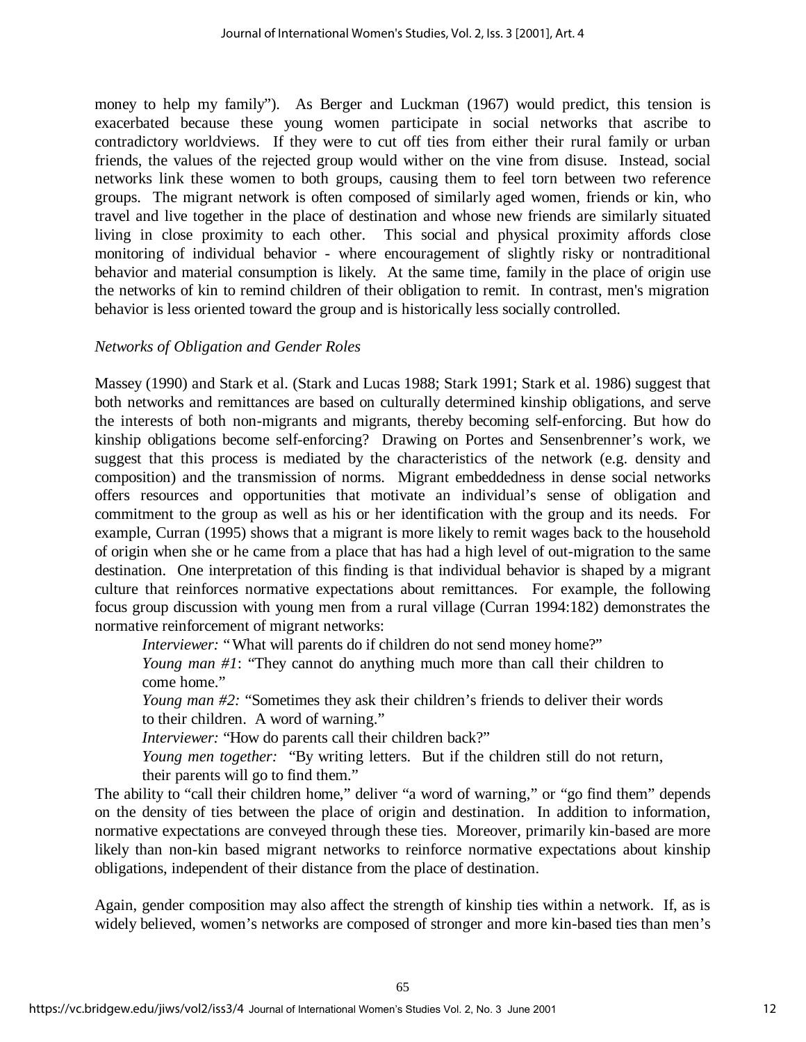money to help my family"). As Berger and Luckman (1967) would predict, this tension is exacerbated because these young women participate in social networks that ascribe to contradictory worldviews. If they were to cut off ties from either their rural family or urban friends, the values of the rejected group would wither on the vine from disuse. Instead, social networks link these women to both groups, causing them to feel torn between two reference groups. The migrant network is often composed of similarly aged women, friends or kin, who travel and live together in the place of destination and whose new friends are similarly situated living in close proximity to each other. This social and physical proximity affords close monitoring of individual behavior - where encouragement of slightly risky or nontraditional behavior and material consumption is likely. At the same time, family in the place of origin use the networks of kin to remind children of their obligation to remit. In contrast, men's migration behavior is less oriented toward the group and is historically less socially controlled.

## *Networks of Obligation and Gender Roles*

Massey (1990) and Stark et al. (Stark and Lucas 1988; Stark 1991; Stark et al. 1986) suggest that both networks and remittances are based on culturally determined kinship obligations, and serve the interests of both non-migrants and migrants, thereby becoming self-enforcing. But how do kinship obligations become self-enforcing? Drawing on Portes and Sensenbrenner's work, we suggest that this process is mediated by the characteristics of the network (e.g. density and composition) and the transmission of norms. Migrant embeddedness in dense social networks offers resources and opportunities that motivate an individual's sense of obligation and commitment to the group as well as his or her identification with the group and its needs. For example, Curran (1995) shows that a migrant is more likely to remit wages back to the household of origin when she or he came from a place that has had a high level of out-migration to the same destination. One interpretation of this finding is that individual behavior is shaped by a migrant culture that reinforces normative expectations about remittances. For example, the following focus group discussion with young men from a rural village (Curran 1994:182) demonstrates the normative reinforcement of migrant networks:

*Interviewer:* "What will parents do if children do not send money home?"

*Young man #1*: "They cannot do anything much more than call their children to come home."

*Young man #2:* "Sometimes they ask their children's friends to deliver their words to their children. A word of warning."

*Interviewer:* "How do parents call their children back?"

*Young men together:* "By writing letters. But if the children still do not return, their parents will go to find them."

The ability to "call their children home," deliver "a word of warning," or "go find them" depends on the density of ties between the place of origin and destination. In addition to information, normative expectations are conveyed through these ties. Moreover, primarily kin-based are more likely than non-kin based migrant networks to reinforce normative expectations about kinship obligations, independent of their distance from the place of destination.

Again, gender composition may also affect the strength of kinship ties within a network. If, as is widely believed, women's networks are composed of stronger and more kin-based ties than men's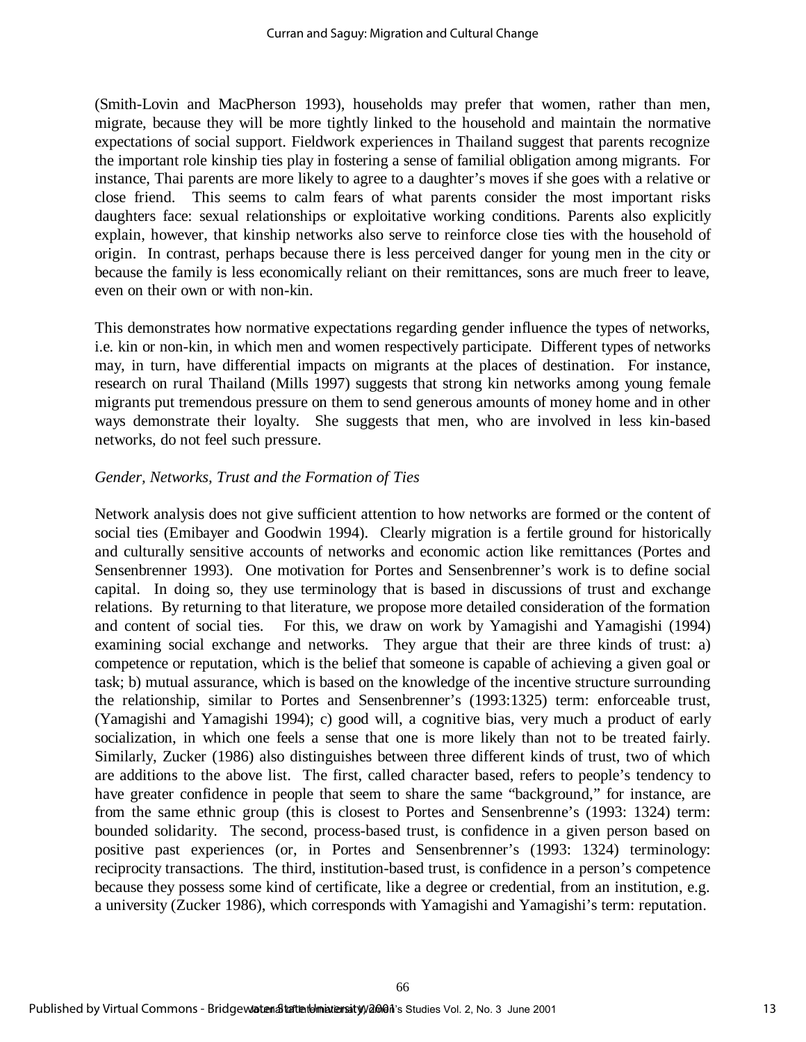(Smith-Lovin and MacPherson 1993), households may prefer that women, rather than men, migrate, because they will be more tightly linked to the household and maintain the normative expectations of social support. Fieldwork experiences in Thailand suggest that parents recognize the important role kinship ties play in fostering a sense of familial obligation among migrants. For instance, Thai parents are more likely to agree to a daughter's moves if she goes with a relative or close friend. This seems to calm fears of what parents consider the most important risks daughters face: sexual relationships or exploitative working conditions. Parents also explicitly explain, however, that kinship networks also serve to reinforce close ties with the household of origin. In contrast, perhaps because there is less perceived danger for young men in the city or because the family is less economically reliant on their remittances, sons are much freer to leave, even on their own or with non-kin.

This demonstrates how normative expectations regarding gender influence the types of networks, i.e. kin or non-kin, in which men and women respectively participate. Different types of networks may, in turn, have differential impacts on migrants at the places of destination. For instance, research on rural Thailand (Mills 1997) suggests that strong kin networks among young female migrants put tremendous pressure on them to send generous amounts of money home and in other ways demonstrate their loyalty. She suggests that men, who are involved in less kin-based networks, do not feel such pressure.

## *Gender, Networks, Trust and the Formation of Ties*

Network analysis does not give sufficient attention to how networks are formed or the content of social ties (Emibayer and Goodwin 1994). Clearly migration is a fertile ground for historically and culturally sensitive accounts of networks and economic action like remittances (Portes and Sensenbrenner 1993). One motivation for Portes and Sensenbrenner's work is to define social capital. In doing so, they use terminology that is based in discussions of trust and exchange relations. By returning to that literature, we propose more detailed consideration of the formation and content of social ties. For this, we draw on work by Yamagishi and Yamagishi (1994) examining social exchange and networks. They argue that their are three kinds of trust: a) competence or reputation, which is the belief that someone is capable of achieving a given goal or task; b) mutual assurance, which is based on the knowledge of the incentive structure surrounding the relationship, similar to Portes and Sensenbrenner's (1993:1325) term: enforceable trust, (Yamagishi and Yamagishi 1994); c) good will, a cognitive bias, very much a product of early socialization, in which one feels a sense that one is more likely than not to be treated fairly. Similarly, Zucker (1986) also distinguishes between three different kinds of trust, two of which are additions to the above list. The first, called character based, refers to people's tendency to have greater confidence in people that seem to share the same "background," for instance, are from the same ethnic group (this is closest to Portes and Sensenbrenne's (1993: 1324) term: bounded solidarity. The second, process-based trust, is confidence in a given person based on positive past experiences (or, in Portes and Sensenbrenner's (1993: 1324) terminology: reciprocity transactions. The third, institution-based trust, is confidence in a person's competence because they possess some kind of certificate, like a degree or credential, from an institution, e.g. a university (Zucker 1986), which corresponds with Yamagishi and Yamagishi's term: reputation.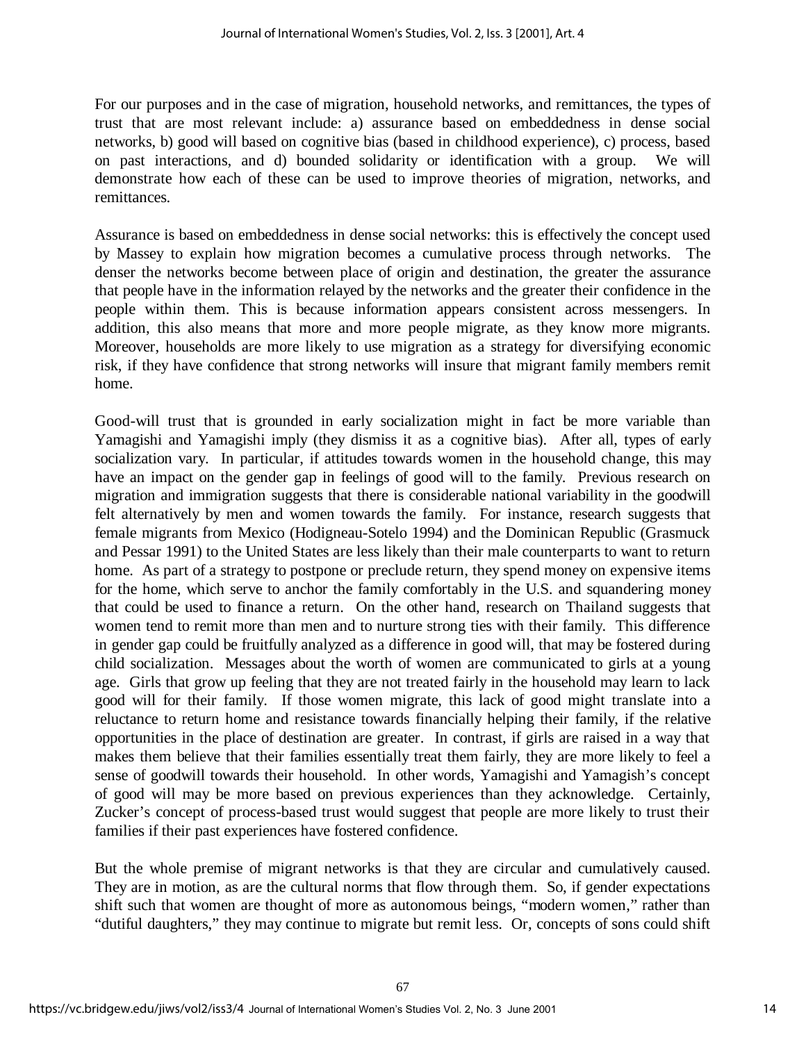For our purposes and in the case of migration, household networks, and remittances, the types of trust that are most relevant include: a) assurance based on embeddedness in dense social networks, b) good will based on cognitive bias (based in childhood experience), c) process, based on past interactions, and d) bounded solidarity or identification with a group. We will demonstrate how each of these can be used to improve theories of migration, networks, and remittances.

Assurance is based on embeddedness in dense social networks: this is effectively the concept used by Massey to explain how migration becomes a cumulative process through networks. The denser the networks become between place of origin and destination, the greater the assurance that people have in the information relayed by the networks and the greater their confidence in the people within them. This is because information appears consistent across messengers. In addition, this also means that more and more people migrate, as they know more migrants. Moreover, households are more likely to use migration as a strategy for diversifying economic risk, if they have confidence that strong networks will insure that migrant family members remit home.

Good-will trust that is grounded in early socialization might in fact be more variable than Yamagishi and Yamagishi imply (they dismiss it as a cognitive bias). After all, types of early socialization vary. In particular, if attitudes towards women in the household change, this may have an impact on the gender gap in feelings of good will to the family. Previous research on migration and immigration suggests that there is considerable national variability in the goodwill felt alternatively by men and women towards the family. For instance, research suggests that female migrants from Mexico (Hodigneau-Sotelo 1994) and the Dominican Republic (Grasmuck and Pessar 1991) to the United States are less likely than their male counterparts to want to return home. As part of a strategy to postpone or preclude return, they spend money on expensive items for the home, which serve to anchor the family comfortably in the U.S. and squandering money that could be used to finance a return. On the other hand, research on Thailand suggests that women tend to remit more than men and to nurture strong ties with their family. This difference in gender gap could be fruitfully analyzed as a difference in good will, that may be fostered during child socialization. Messages about the worth of women are communicated to girls at a young age. Girls that grow up feeling that they are not treated fairly in the household may learn to lack good will for their family. If those women migrate, this lack of good might translate into a reluctance to return home and resistance towards financially helping their family, if the relative opportunities in the place of destination are greater. In contrast, if girls are raised in a way that makes them believe that their families essentially treat them fairly, they are more likely to feel a sense of goodwill towards their household. In other words, Yamagishi and Yamagish's concept of good will may be more based on previous experiences than they acknowledge. Certainly, Zucker's concept of process-based trust would suggest that people are more likely to trust their families if their past experiences have fostered confidence.

But the whole premise of migrant networks is that they are circular and cumulatively caused. They are in motion, as are the cultural norms that flow through them. So, if gender expectations shift such that women are thought of more as autonomous beings, "modern women," rather than "dutiful daughters," they may continue to migrate but remit less. Or, concepts of sons could shift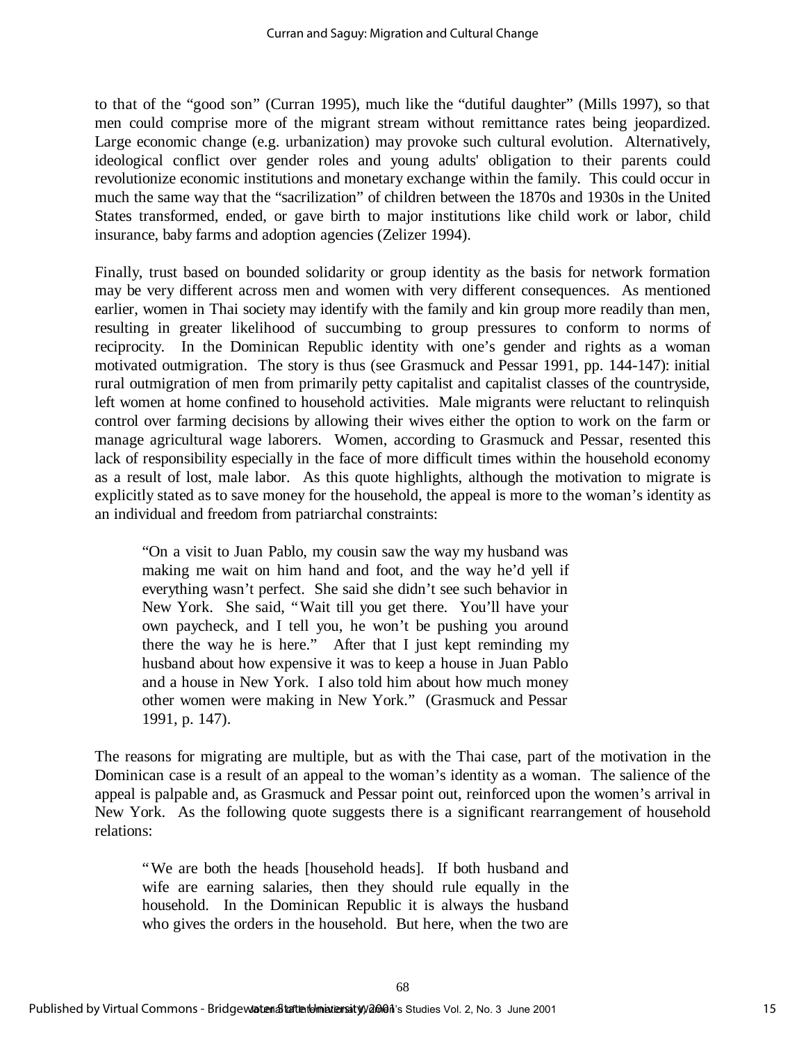to that of the "good son" (Curran 1995), much like the "dutiful daughter" (Mills 1997), so that men could comprise more of the migrant stream without remittance rates being jeopardized. Large economic change (e.g. urbanization) may provoke such cultural evolution. Alternatively, ideological conflict over gender roles and young adults' obligation to their parents could revolutionize economic institutions and monetary exchange within the family. This could occur in much the same way that the "sacrilization" of children between the 1870s and 1930s in the United States transformed, ended, or gave birth to major institutions like child work or labor, child insurance, baby farms and adoption agencies (Zelizer 1994).

Finally, trust based on bounded solidarity or group identity as the basis for network formation may be very different across men and women with very different consequences. As mentioned earlier, women in Thai society may identify with the family and kin group more readily than men, resulting in greater likelihood of succumbing to group pressures to conform to norms of reciprocity. In the Dominican Republic identity with one's gender and rights as a woman motivated outmigration. The story is thus (see Grasmuck and Pessar 1991, pp. 144-147): initial rural outmigration of men from primarily petty capitalist and capitalist classes of the countryside, left women at home confined to household activities. Male migrants were reluctant to relinquish control over farming decisions by allowing their wives either the option to work on the farm or manage agricultural wage laborers. Women, according to Grasmuck and Pessar, resented this lack of responsibility especially in the face of more difficult times within the household economy as a result of lost, male labor. As this quote highlights, although the motivation to migrate is explicitly stated as to save money for the household, the appeal is more to the woman's identity as an individual and freedom from patriarchal constraints:

"On a visit to Juan Pablo, my cousin saw the way my husband was making me wait on him hand and foot, and the way he'd yell if everything wasn't perfect. She said she didn't see such behavior in New York. She said, "Wait till you get there. You'll have your own paycheck, and I tell you, he won't be pushing you around there the way he is here." After that I just kept reminding my husband about how expensive it was to keep a house in Juan Pablo and a house in New York. I also told him about how much money other women were making in New York." (Grasmuck and Pessar 1991, p. 147).

The reasons for migrating are multiple, but as with the Thai case, part of the motivation in the Dominican case is a result of an appeal to the woman's identity as a woman. The salience of the appeal is palpable and, as Grasmuck and Pessar point out, reinforced upon the women's arrival in New York. As the following quote suggests there is a significant rearrangement of household relations:

68

"We are both the heads [household heads]. If both husband and wife are earning salaries, then they should rule equally in the household. In the Dominican Republic it is always the husband who gives the orders in the household. But here, when the two are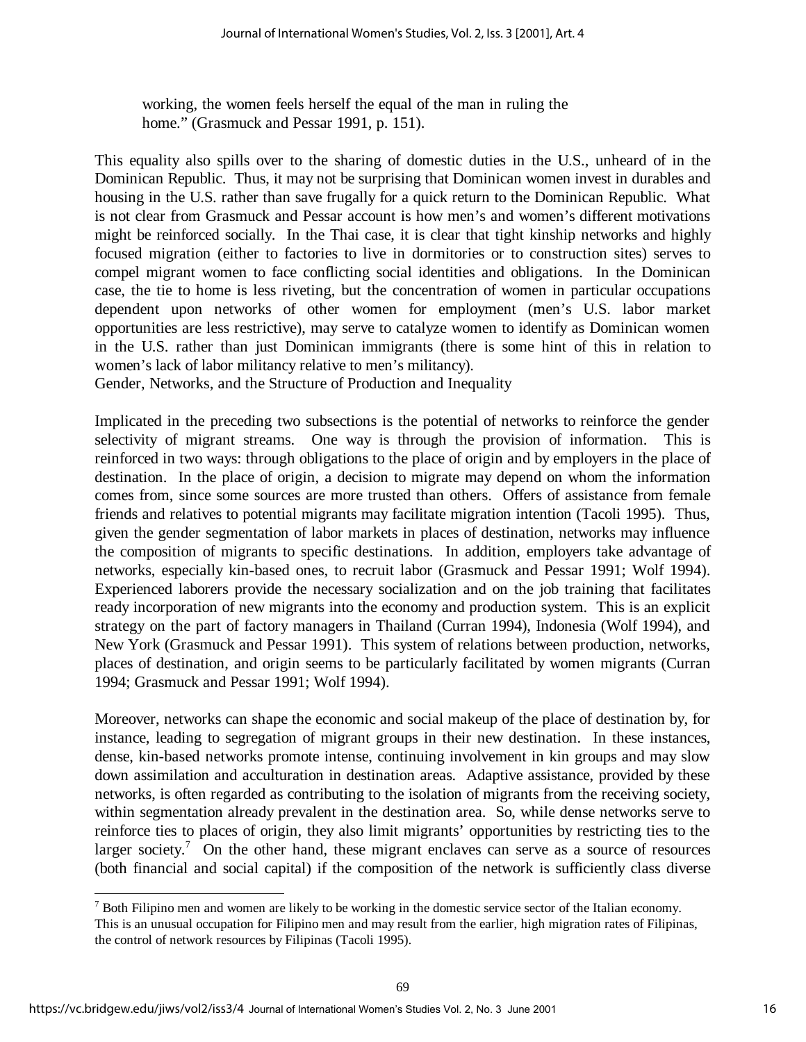working, the women feels herself the equal of the man in ruling the home." (Grasmuck and Pessar 1991, p. 151).

This equality also spills over to the sharing of domestic duties in the U.S., unheard of in the Dominican Republic. Thus, it may not be surprising that Dominican women invest in durables and housing in the U.S. rather than save frugally for a quick return to the Dominican Republic. What is not clear from Grasmuck and Pessar account is how men's and women's different motivations might be reinforced socially. In the Thai case, it is clear that tight kinship networks and highly focused migration (either to factories to live in dormitories or to construction sites) serves to compel migrant women to face conflicting social identities and obligations. In the Dominican case, the tie to home is less riveting, but the concentration of women in particular occupations dependent upon networks of other women for employment (men's U.S. labor market opportunities are less restrictive), may serve to catalyze women to identify as Dominican women in the U.S. rather than just Dominican immigrants (there is some hint of this in relation to women's lack of labor militancy relative to men's militancy).

Gender, Networks, and the Structure of Production and Inequality

Implicated in the preceding two subsections is the potential of networks to reinforce the gender selectivity of migrant streams. One way is through the provision of information. This is reinforced in two ways: through obligations to the place of origin and by employers in the place of destination. In the place of origin, a decision to migrate may depend on whom the information comes from, since some sources are more trusted than others. Offers of assistance from female friends and relatives to potential migrants may facilitate migration intention (Tacoli 1995). Thus, given the gender segmentation of labor markets in places of destination, networks may influence the composition of migrants to specific destinations. In addition, employers take advantage of networks, especially kin-based ones, to recruit labor (Grasmuck and Pessar 1991; Wolf 1994). Experienced laborers provide the necessary socialization and on the job training that facilitates ready incorporation of new migrants into the economy and production system. This is an explicit strategy on the part of factory managers in Thailand (Curran 1994), Indonesia (Wolf 1994), and New York (Grasmuck and Pessar 1991). This system of relations between production, networks, places of destination, and origin seems to be particularly facilitated by women migrants (Curran 1994; Grasmuck and Pessar 1991; Wolf 1994).

Moreover, networks can shape the economic and social makeup of the place of destination by, for instance, leading to segregation of migrant groups in their new destination. In these instances, dense, kin-based networks promote intense, continuing involvement in kin groups and may slow down assimilation and acculturation in destination areas. Adaptive assistance, provided by these networks, is often regarded as contributing to the isolation of migrants from the receiving society, within segmentation already prevalent in the destination area. So, while dense networks serve to reinforce ties to places of origin, they also limit migrants' opportunities by restricting ties to the larger society.<sup>7</sup> On the other hand, these migrant enclaves can serve as a source of resources (both financial and social capital) if the composition of the network is sufficiently class diverse

l

 $<sup>7</sup>$  Both Filipino men and women are likely to be working in the domestic service sector of the Italian economy.</sup> This is an unusual occupation for Filipino men and may result from the earlier, high migration rates of Filipinas, the control of network resources by Filipinas (Tacoli 1995).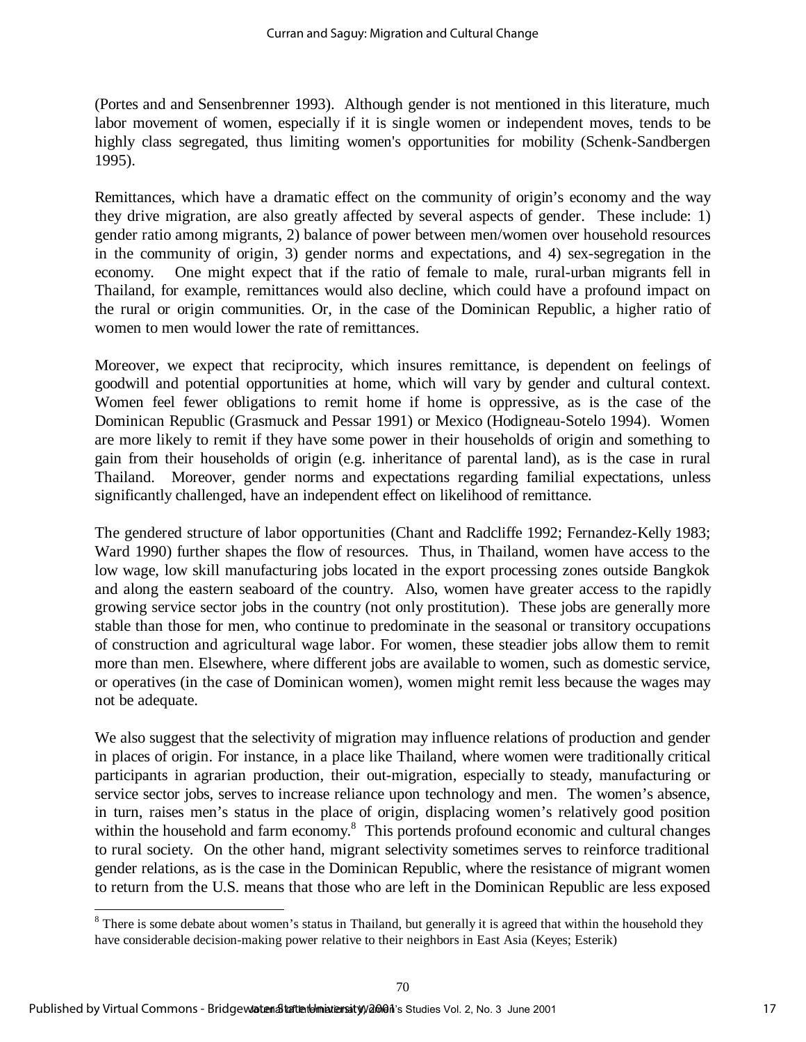(Portes and and Sensenbrenner 1993). Although gender is not mentioned in this literature, much labor movement of women, especially if it is single women or independent moves, tends to be highly class segregated, thus limiting women's opportunities for mobility (Schenk-Sandbergen 1995).

Remittances, which have a dramatic effect on the community of origin's economy and the way they drive migration, are also greatly affected by several aspects of gender. These include: 1) gender ratio among migrants, 2) balance of power between men/women over household resources in the community of origin, 3) gender norms and expectations, and 4) sex-segregation in the economy. One might expect that if the ratio of female to male, rural-urban migrants fell in Thailand, for example, remittances would also decline, which could have a profound impact on the rural or origin communities. Or, in the case of the Dominican Republic, a higher ratio of women to men would lower the rate of remittances.

Moreover, we expect that reciprocity, which insures remittance, is dependent on feelings of goodwill and potential opportunities at home, which will vary by gender and cultural context. Women feel fewer obligations to remit home if home is oppressive, as is the case of the Dominican Republic (Grasmuck and Pessar 1991) or Mexico (Hodigneau-Sotelo 1994). Women are more likely to remit if they have some power in their households of origin and something to gain from their households of origin (e.g. inheritance of parental land), as is the case in rural Thailand. Moreover, gender norms and expectations regarding familial expectations, unless significantly challenged, have an independent effect on likelihood of remittance.

The gendered structure of labor opportunities (Chant and Radcliffe 1992; Fernandez-Kelly 1983; Ward 1990) further shapes the flow of resources. Thus, in Thailand, women have access to the low wage, low skill manufacturing jobs located in the export processing zones outside Bangkok and along the eastern seaboard of the country. Also, women have greater access to the rapidly growing service sector jobs in the country (not only prostitution). These jobs are generally more stable than those for men, who continue to predominate in the seasonal or transitory occupations of construction and agricultural wage labor. For women, these steadier jobs allow them to remit more than men. Elsewhere, where different jobs are available to women, such as domestic service, or operatives (in the case of Dominican women), women might remit less because the wages may not be adequate.

We also suggest that the selectivity of migration may influence relations of production and gender in places of origin. For instance, in a place like Thailand, where women were traditionally critical participants in agrarian production, their out-migration, especially to steady, manufacturing or service sector jobs, serves to increase reliance upon technology and men. The women's absence, in turn, raises men's status in the place of origin, displacing women's relatively good position within the household and farm economy. $8$  This portends profound economic and cultural changes to rural society. On the other hand, migrant selectivity sometimes serves to reinforce traditional gender relations, as is the case in the Dominican Republic, where the resistance of migrant women to return from the U.S. means that those who are left in the Dominican Republic are less exposed

l

 $8$  There is some debate about women's status in Thailand, but generally it is agreed that within the household they have considerable decision-making power relative to their neighbors in East Asia (Keyes; Esterik)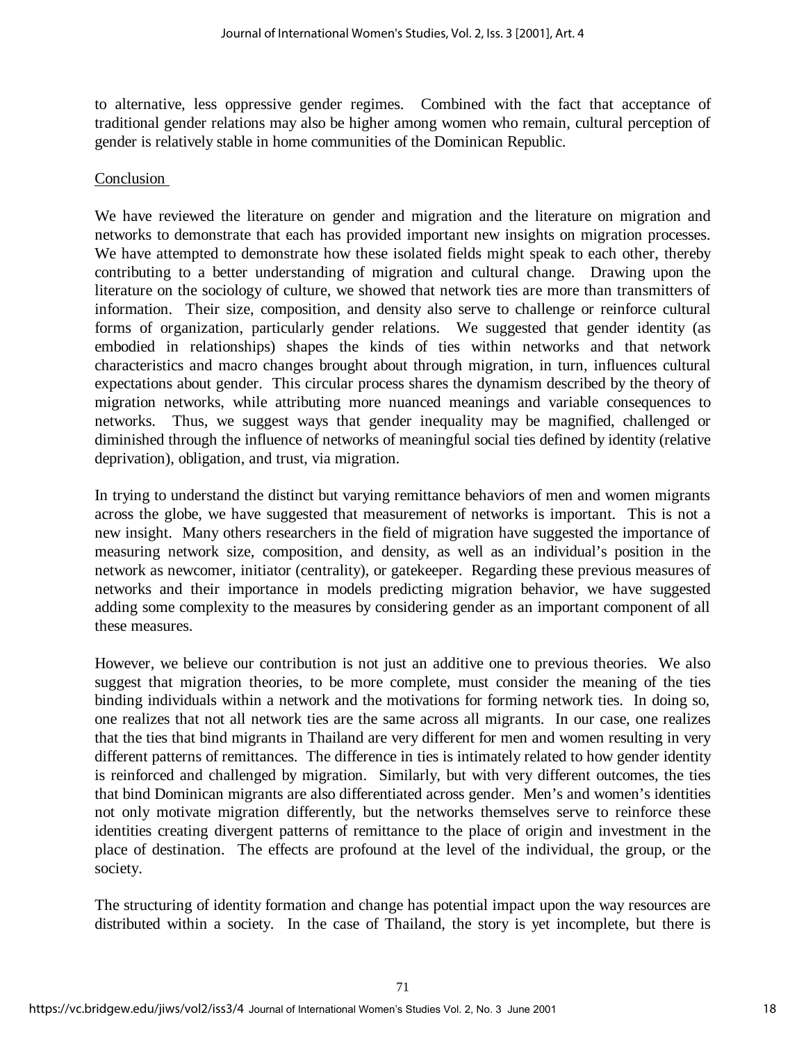to alternative, less oppressive gender regimes. Combined with the fact that acceptance of traditional gender relations may also be higher among women who remain, cultural perception of gender is relatively stable in home communities of the Dominican Republic.

#### Conclusion

We have reviewed the literature on gender and migration and the literature on migration and networks to demonstrate that each has provided important new insights on migration processes. We have attempted to demonstrate how these isolated fields might speak to each other, thereby contributing to a better understanding of migration and cultural change. Drawing upon the literature on the sociology of culture, we showed that network ties are more than transmitters of information. Their size, composition, and density also serve to challenge or reinforce cultural forms of organization, particularly gender relations. We suggested that gender identity (as embodied in relationships) shapes the kinds of ties within networks and that network characteristics and macro changes brought about through migration, in turn, influences cultural expectations about gender. This circular process shares the dynamism described by the theory of migration networks, while attributing more nuanced meanings and variable consequences to networks. Thus, we suggest ways that gender inequality may be magnified, challenged or diminished through the influence of networks of meaningful social ties defined by identity (relative deprivation), obligation, and trust, via migration.

In trying to understand the distinct but varying remittance behaviors of men and women migrants across the globe, we have suggested that measurement of networks is important. This is not a new insight. Many others researchers in the field of migration have suggested the importance of measuring network size, composition, and density, as well as an individual's position in the network as newcomer, initiator (centrality), or gatekeeper. Regarding these previous measures of networks and their importance in models predicting migration behavior, we have suggested adding some complexity to the measures by considering gender as an important component of all these measures.

However, we believe our contribution is not just an additive one to previous theories. We also suggest that migration theories, to be more complete, must consider the meaning of the ties binding individuals within a network and the motivations for forming network ties. In doing so, one realizes that not all network ties are the same across all migrants. In our case, one realizes that the ties that bind migrants in Thailand are very different for men and women resulting in very different patterns of remittances. The difference in ties is intimately related to how gender identity is reinforced and challenged by migration. Similarly, but with very different outcomes, the ties that bind Dominican migrants are also differentiated across gender. Men's and women's identities not only motivate migration differently, but the networks themselves serve to reinforce these identities creating divergent patterns of remittance to the place of origin and investment in the place of destination. The effects are profound at the level of the individual, the group, or the society.

The structuring of identity formation and change has potential impact upon the way resources are distributed within a society. In the case of Thailand, the story is yet incomplete, but there is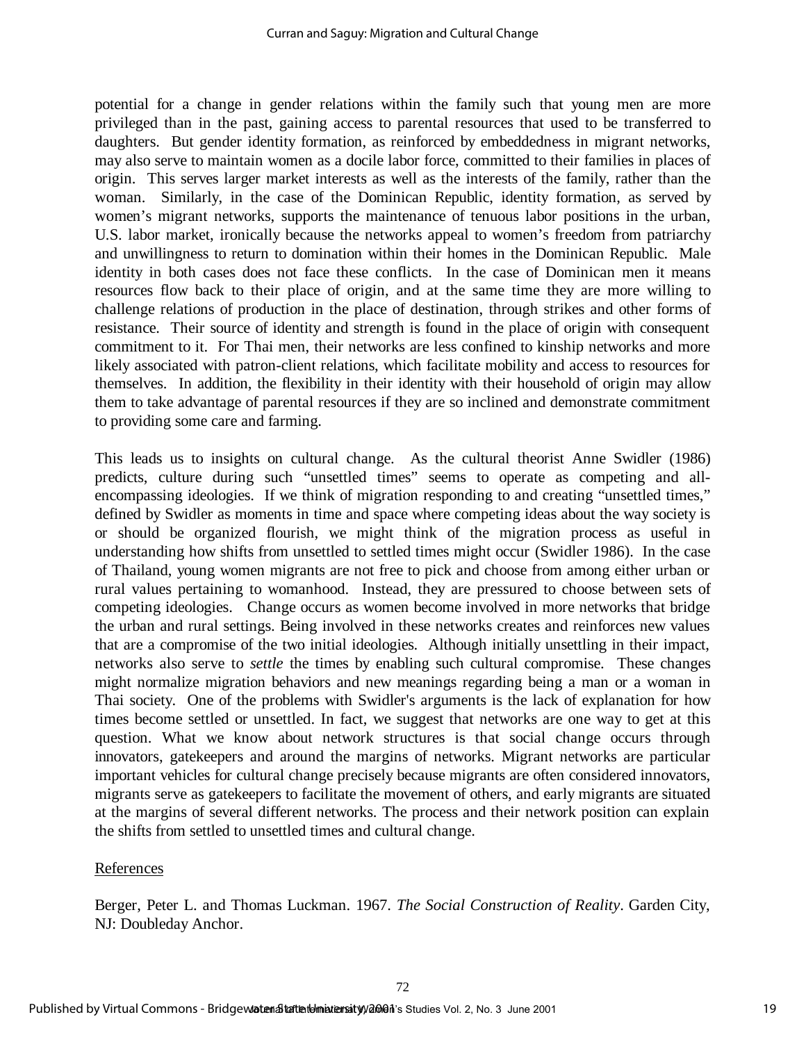potential for a change in gender relations within the family such that young men are more privileged than in the past, gaining access to parental resources that used to be transferred to daughters. But gender identity formation, as reinforced by embeddedness in migrant networks, may also serve to maintain women as a docile labor force, committed to their families in places of origin. This serves larger market interests as well as the interests of the family, rather than the woman. Similarly, in the case of the Dominican Republic, identity formation, as served by women's migrant networks, supports the maintenance of tenuous labor positions in the urban, U.S. labor market, ironically because the networks appeal to women's freedom from patriarchy and unwillingness to return to domination within their homes in the Dominican Republic. Male identity in both cases does not face these conflicts. In the case of Dominican men it means resources flow back to their place of origin, and at the same time they are more willing to challenge relations of production in the place of destination, through strikes and other forms of resistance. Their source of identity and strength is found in the place of origin with consequent commitment to it. For Thai men, their networks are less confined to kinship networks and more likely associated with patron-client relations, which facilitate mobility and access to resources for themselves. In addition, the flexibility in their identity with their household of origin may allow them to take advantage of parental resources if they are so inclined and demonstrate commitment to providing some care and farming.

This leads us to insights on cultural change. As the cultural theorist Anne Swidler (1986) predicts, culture during such "unsettled times" seems to operate as competing and allencompassing ideologies. If we think of migration responding to and creating "unsettled times," defined by Swidler as moments in time and space where competing ideas about the way society is or should be organized flourish, we might think of the migration process as useful in understanding how shifts from unsettled to settled times might occur (Swidler 1986). In the case of Thailand, young women migrants are not free to pick and choose from among either urban or rural values pertaining to womanhood. Instead, they are pressured to choose between sets of competing ideologies. Change occurs as women become involved in more networks that bridge the urban and rural settings. Being involved in these networks creates and reinforces new values that are a compromise of the two initial ideologies. Although initially unsettling in their impact, networks also serve to *settle* the times by enabling such cultural compromise. These changes might normalize migration behaviors and new meanings regarding being a man or a woman in Thai society. One of the problems with Swidler's arguments is the lack of explanation for how times become settled or unsettled. In fact, we suggest that networks are one way to get at this question. What we know about network structures is that social change occurs through innovators, gatekeepers and around the margins of networks. Migrant networks are particular important vehicles for cultural change precisely because migrants are often considered innovators, migrants serve as gatekeepers to facilitate the movement of others, and early migrants are situated at the margins of several different networks. The process and their network position can explain the shifts from settled to unsettled times and cultural change.

#### References

Berger, Peter L. and Thomas Luckman. 1967. *The Social Construction of Reality*. Garden City, NJ: Doubleday Anchor.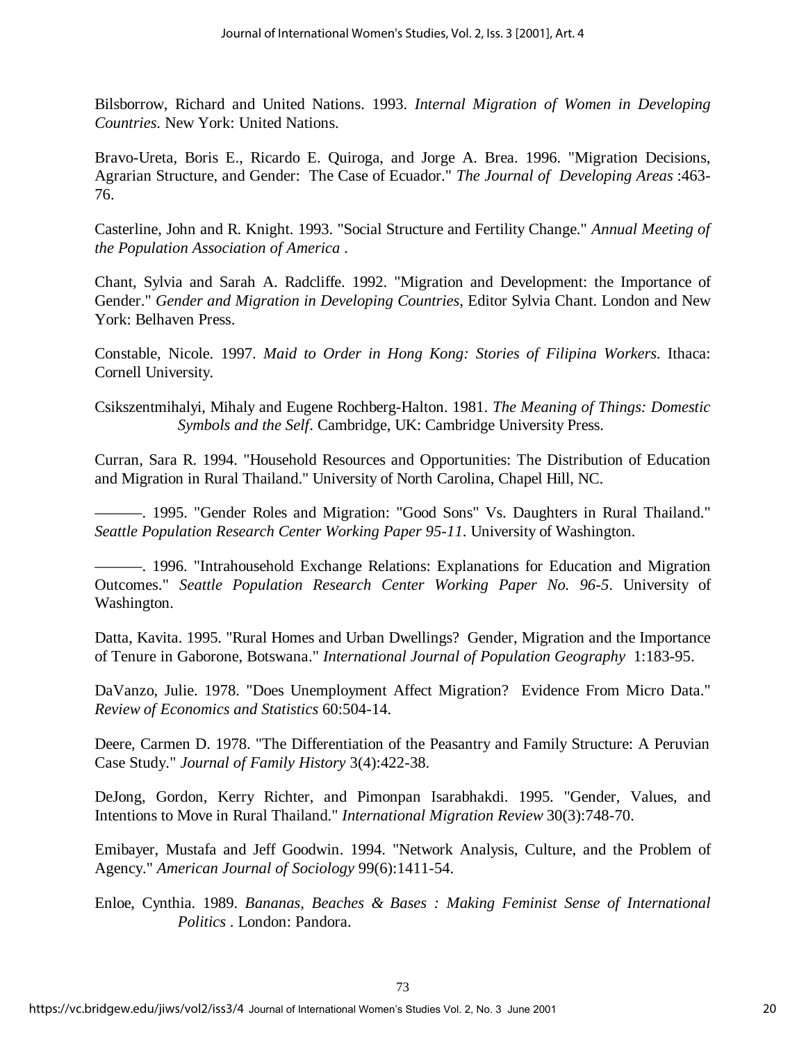Bilsborrow, Richard and United Nations. 1993. *Internal Migration of Women in Developing Countries*. New York: United Nations.

Bravo-Ureta, Boris E., Ricardo E. Quiroga, and Jorge A. Brea. 1996. "Migration Decisions, Agrarian Structure, and Gender: The Case of Ecuador." *The Journal of Developing Areas* :463- 76.

Casterline, John and R. Knight. 1993. "Social Structure and Fertility Change." *Annual Meeting of the Population Association of America* .

Chant, Sylvia and Sarah A. Radcliffe. 1992. "Migration and Development: the Importance of Gender." *Gender and Migration in Developing Countries*, Editor Sylvia Chant. London and New York: Belhaven Press.

Constable, Nicole. 1997. *Maid to Order in Hong Kong: Stories of Filipina Workers*. Ithaca: Cornell University.

Csikszentmihalyi, Mihaly and Eugene Rochberg-Halton. 1981. *The Meaning of Things: Domestic Symbols and the Self*. Cambridge, UK: Cambridge University Press.

Curran, Sara R. 1994. "Household Resources and Opportunities: The Distribution of Education and Migration in Rural Thailand." University of North Carolina, Chapel Hill, NC.

——— . 1995. "Gender Roles and Migration: "Good Sons" Vs. Daughters in Rural Thailand." *Seattle Population Research Center Working Paper 95-11*. University of Washington.

——— . 1996. "Intrahousehold Exchange Relations: Explanations for Education and Migration Outcomes." *Seattle Population Research Center Working Paper No. 96-5*. University of Washington.

Datta, Kavita. 1995. "Rural Homes and Urban Dwellings? Gender, Migration and the Importance of Tenure in Gaborone, Botswana." *International Journal of Population Geography* 1:183-95.

DaVanzo, Julie. 1978. "Does Unemployment Affect Migration? Evidence From Micro Data." *Review of Economics and Statistics* 60:504-14.

Deere, Carmen D. 1978. "The Differentiation of the Peasantry and Family Structure: A Peruvian Case Study." *Journal of Family History* 3(4):422-38.

DeJong, Gordon, Kerry Richter, and Pimonpan Isarabhakdi. 1995. "Gender, Values, and Intentions to Move in Rural Thailand." *International Migration Review* 30(3):748-70.

Emibayer, Mustafa and Jeff Goodwin. 1994. "Network Analysis, Culture, and the Problem of Agency." *American Journal of Sociology* 99(6):1411-54.

Enloe, Cynthia. 1989. *Bananas, Beaches & Bases : Making Feminist Sense of International Politics* . London: Pandora.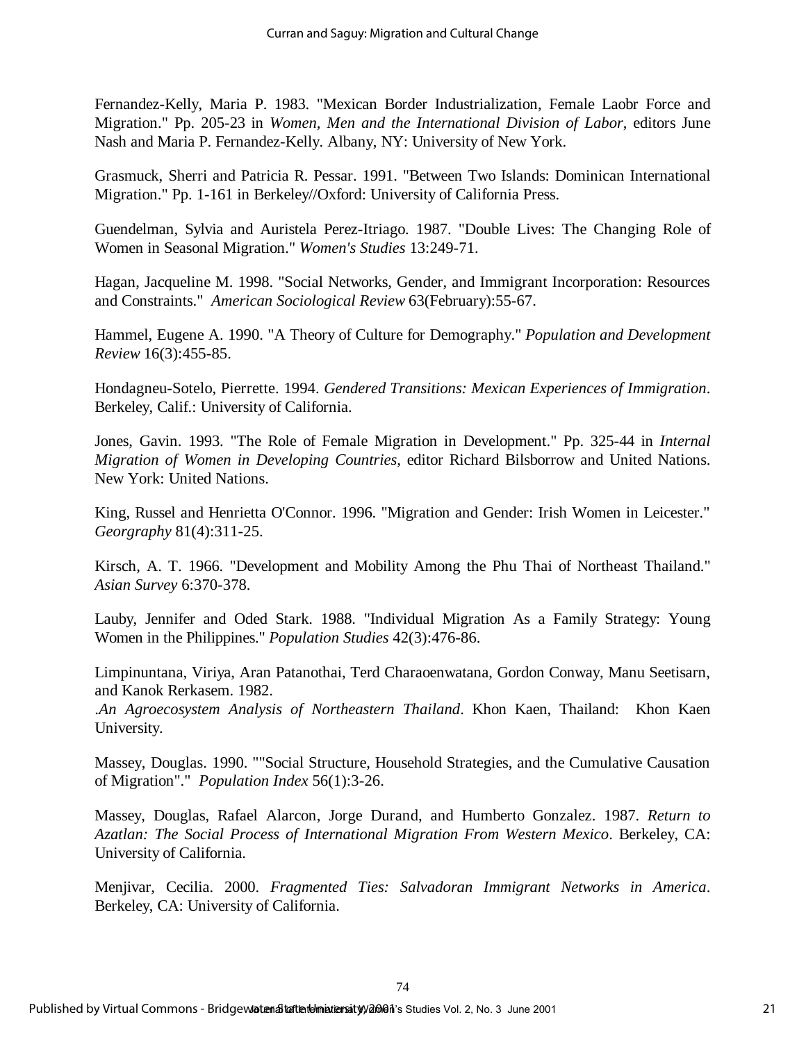Fernandez-Kelly, Maria P. 1983. "Mexican Border Industrialization, Female Laobr Force and Migration." Pp. 205-23 in *Women, Men and the International Division of Labor*, editors June Nash and Maria P. Fernandez-Kelly. Albany, NY: University of New York.

Grasmuck, Sherri and Patricia R. Pessar. 1991. "Between Two Islands: Dominican International Migration." Pp. 1-161 in Berkeley//Oxford: University of California Press.

Guendelman, Sylvia and Auristela Perez-Itriago. 1987. "Double Lives: The Changing Role of Women in Seasonal Migration." *Women's Studies* 13:249-71.

Hagan, Jacqueline M. 1998. "Social Networks, Gender, and Immigrant Incorporation: Resources and Constraints." *American Sociological Review* 63(February):55-67.

Hammel, Eugene A. 1990. "A Theory of Culture for Demography." *Population and Development Review* 16(3):455-85.

Hondagneu-Sotelo, Pierrette. 1994. *Gendered Transitions: Mexican Experiences of Immigration*. Berkeley, Calif.: University of California.

Jones, Gavin. 1993. "The Role of Female Migration in Development." Pp. 325-44 in *Internal Migration of Women in Developing Countries*, editor Richard Bilsborrow and United Nations. New York: United Nations.

King, Russel and Henrietta O'Connor. 1996. "Migration and Gender: Irish Women in Leicester." *Georgraphy* 81(4):311-25.

Kirsch, A. T. 1966. "Development and Mobility Among the Phu Thai of Northeast Thailand." *Asian Survey* 6:370-378.

Lauby, Jennifer and Oded Stark. 1988. "Individual Migration As a Family Strategy: Young Women in the Philippines." *Population Studies* 42(3):476-86.

Limpinuntana, Viriya, Aran Patanothai, Terd Charaoenwatana, Gordon Conway, Manu Seetisarn, and Kanok Rerkasem. 1982.

.*An Agroecosystem Analysis of Northeastern Thailand*. Khon Kaen, Thailand: Khon Kaen University.

Massey, Douglas. 1990. ""Social Structure, Household Strategies, and the Cumulative Causation of Migration"." *Population Index* 56(1):3-26.

Massey, Douglas, Rafael Alarcon, Jorge Durand, and Humberto Gonzalez. 1987. *Return to Azatlan: The Social Process of International Migration From Western Mexico*. Berkeley, CA: University of California.

Menjivar, Cecilia. 2000. *Fragmented Ties: Salvadoran Immigrant Networks in America*. Berkeley, CA: University of California.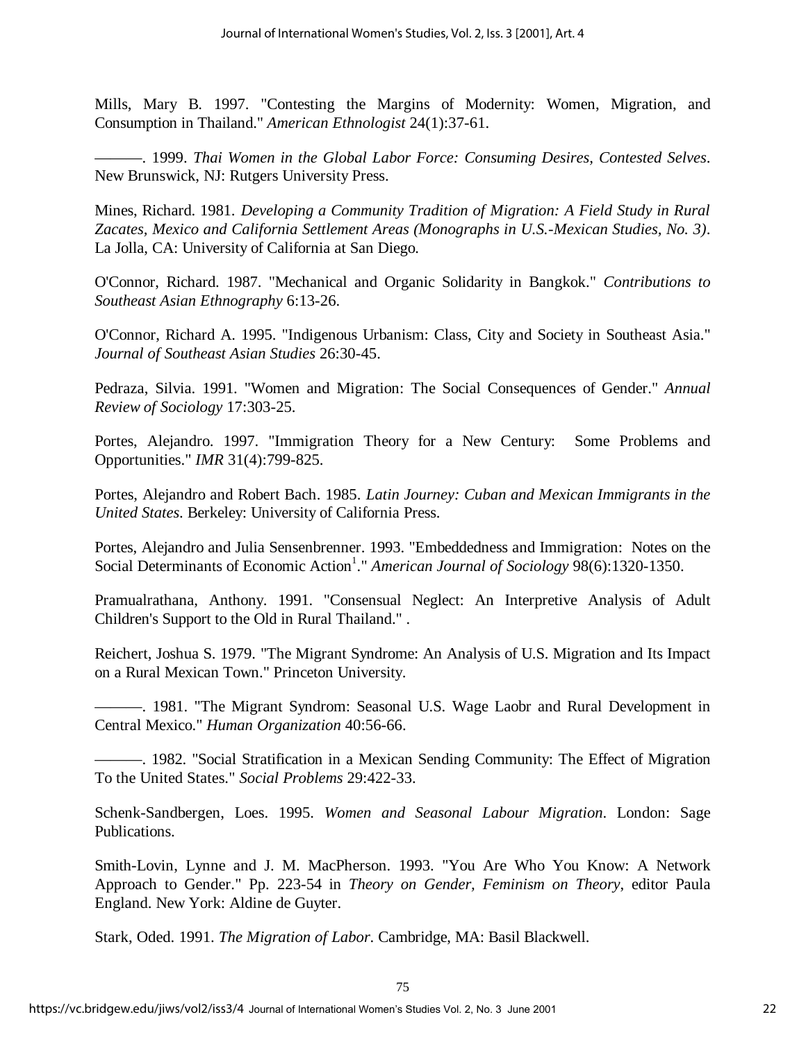Mills, Mary B. 1997. "Contesting the Margins of Modernity: Women, Migration, and Consumption in Thailand." *American Ethnologist* 24(1):37-61.

——— . 1999. *Thai Women in the Global Labor Force: Consuming Desires, Contested Selves*. New Brunswick, NJ: Rutgers University Press.

Mines, Richard. 1981. *Developing a Community Tradition of Migration: A Field Study in Rural Zacates, Mexico and California Settlement Areas (Monographs in U.S.-Mexican Studies, No. 3)*. La Jolla, CA: University of California at San Diego.

O'Connor, Richard. 1987. "Mechanical and Organic Solidarity in Bangkok." *Contributions to Southeast Asian Ethnography* 6:13-26.

O'Connor, Richard A. 1995. "Indigenous Urbanism: Class, City and Society in Southeast Asia." *Journal of Southeast Asian Studies* 26:30-45.

Pedraza, Silvia. 1991. "Women and Migration: The Social Consequences of Gender." *Annual Review of Sociology* 17:303-25.

Portes, Alejandro. 1997. "Immigration Theory for a New Century: Some Problems and Opportunities." *IMR* 31(4):799-825.

Portes, Alejandro and Robert Bach. 1985. *Latin Journey: Cuban and Mexican Immigrants in the United States*. Berkeley: University of California Press.

Portes, Alejandro and Julia Sensenbrenner. 1993. "Embeddedness and Immigration: Notes on the Social Determinants of Economic Action<sup>1</sup>." *American Journal of Sociology* 98(6):1320-1350.

Pramualrathana, Anthony. 1991. "Consensual Neglect: An Interpretive Analysis of Adult Children's Support to the Old in Rural Thailand." .

Reichert, Joshua S. 1979. "The Migrant Syndrome: An Analysis of U.S. Migration and Its Impact on a Rural Mexican Town." Princeton University.

——— . 1981. "The Migrant Syndrom: Seasonal U.S. Wage Laobr and Rural Development in Central Mexico." *Human Organization* 40:56-66.

——— . 1982. "Social Stratification in a Mexican Sending Community: The Effect of Migration To the United States." *Social Problems* 29:422-33.

Schenk-Sandbergen, Loes. 1995. *Women and Seasonal Labour Migration*. London: Sage Publications.

Smith-Lovin, Lynne and J. M. MacPherson. 1993. "You Are Who You Know: A Network Approach to Gender." Pp. 223-54 in *Theory on Gender, Feminism on Theory*, editor Paula England. New York: Aldine de Guyter.

Stark, Oded. 1991. *The Migration of Labor*. Cambridge, MA: Basil Blackwell.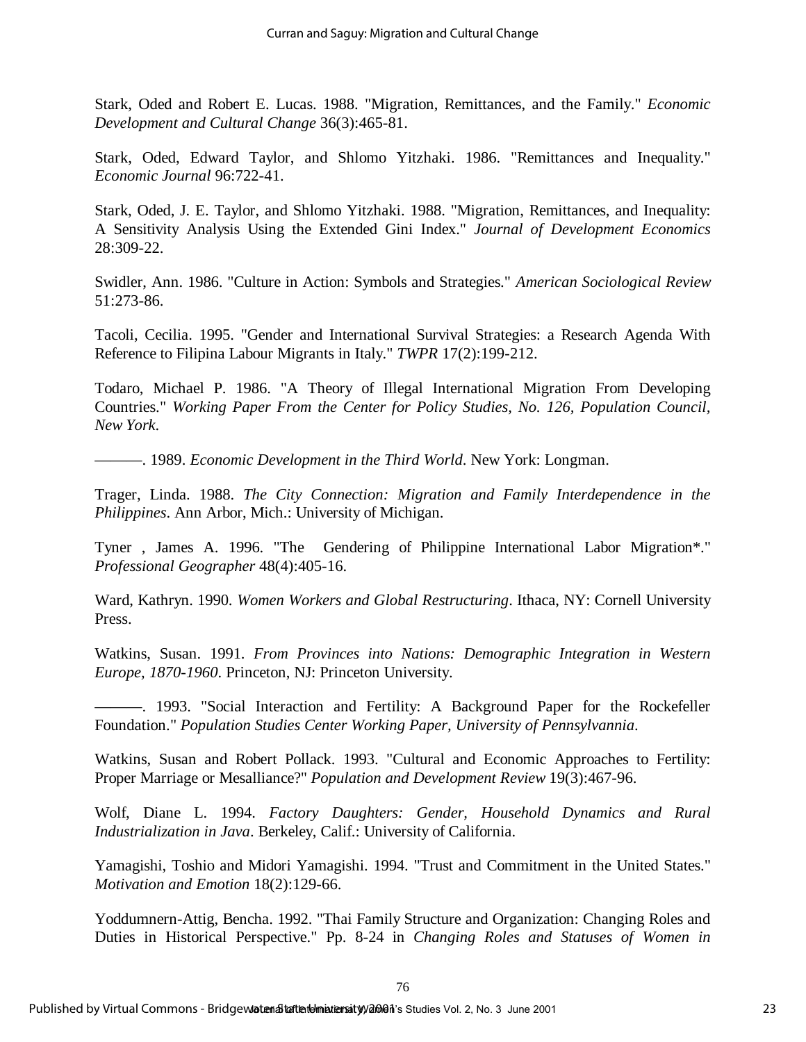Stark, Oded and Robert E. Lucas. 1988. "Migration, Remittances, and the Family." *Economic Development and Cultural Change* 36(3):465-81.

Stark, Oded, Edward Taylor, and Shlomo Yitzhaki. 1986. "Remittances and Inequality." *Economic Journal* 96:722-41.

Stark, Oded, J. E. Taylor, and Shlomo Yitzhaki. 1988. "Migration, Remittances, and Inequality: A Sensitivity Analysis Using the Extended Gini Index." *Journal of Development Economics* 28:309-22.

Swidler, Ann. 1986. "Culture in Action: Symbols and Strategies." *American Sociological Review* 51:273-86.

Tacoli, Cecilia. 1995. "Gender and International Survival Strategies: a Research Agenda With Reference to Filipina Labour Migrants in Italy." *TWPR* 17(2):199-212.

Todaro, Michael P. 1986. "A Theory of Illegal International Migration From Developing Countries." *Working Paper From the Center for Policy Studies, No. 126, Population Council, New York*.

——— . 1989. *Economic Development in the Third World*. New York: Longman.

Trager, Linda. 1988. *The City Connection: Migration and Family Interdependence in the Philippines*. Ann Arbor, Mich.: University of Michigan.

Tyner , James A. 1996. "The Gendering of Philippine International Labor Migration\*." *Professional Geographer* 48(4):405-16.

Ward, Kathryn. 1990. *Women Workers and Global Restructuring*. Ithaca, NY: Cornell University Press.

Watkins, Susan. 1991. *From Provinces into Nations: Demographic Integration in Western Europe, 1870-1960*. Princeton, NJ: Princeton University.

——— . 1993. "Social Interaction and Fertility: A Background Paper for the Rockefeller Foundation." *Population Studies Center Working Paper, University of Pennsylvannia*.

Watkins, Susan and Robert Pollack. 1993. "Cultural and Economic Approaches to Fertility: Proper Marriage or Mesalliance?" *Population and Development Review* 19(3):467-96.

Wolf, Diane L. 1994. *Factory Daughters: Gender, Household Dynamics and Rural Industrialization in Java*. Berkeley, Calif.: University of California.

Yamagishi, Toshio and Midori Yamagishi. 1994. "Trust and Commitment in the United States." *Motivation and Emotion* 18(2):129-66.

Yoddumnern-Attig, Bencha. 1992. "Thai Family Structure and Organization: Changing Roles and Duties in Historical Perspective." Pp. 8-24 in *Changing Roles and Statuses of Women in*